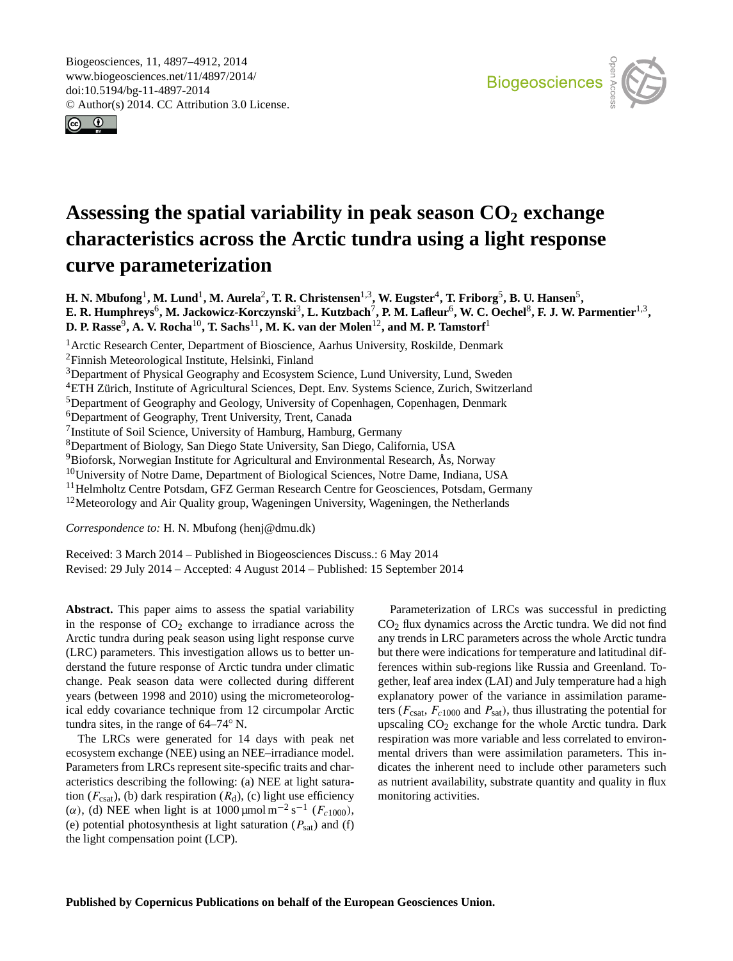<span id="page-0-0"></span>Biogeosciences, 11, 4897–4912, 2014 www.biogeosciences.net/11/4897/2014/ doi:10.5194/bg-11-4897-2014 © Author(s) 2014. CC Attribution 3.0 License.





# **Assessing the spatial variability in peak season CO<sup>2</sup> exchange characteristics across the Arctic tundra using a light response curve parameterization**

 $\bf H.$  N. Mbufong $^1$ , M. Lund $^1$ , M. Aurela $^2$ , T. R. Christensen $^{1,3}$ , W. Eugster $^4$ , T. Friborg $^5$ , B. U. Hansen $^5$ ,  $E$ . R. Humphreys $^6$ , M. Jackowicz-Korczynski $^3$ , L. Kutzbach $^7$ , P. M. Lafleur $^6$ , W. C. Oechel $^8$ , F. J. W. Parmentier $^{1,3},$ **D. P. Rasse**<sup>9</sup> **, A. V. Rocha**10**, T. Sachs**11**, M. K. van der Molen**12**, and M. P. Tamstorf**<sup>1</sup>

<sup>1</sup> Arctic Research Center, Department of Bioscience, Aarhus University, Roskilde, Denmark

<sup>2</sup>Finnish Meteorological Institute, Helsinki, Finland

<sup>3</sup>Department of Physical Geography and Ecosystem Science, Lund University, Lund, Sweden

<sup>4</sup>ETH Zürich, Institute of Agricultural Sciences, Dept. Env. Systems Science, Zurich, Switzerland

<sup>5</sup>Department of Geography and Geology, University of Copenhagen, Copenhagen, Denmark

<sup>6</sup>Department of Geography, Trent University, Trent, Canada

<sup>7</sup> Institute of Soil Science, University of Hamburg, Hamburg, Germany

<sup>8</sup>Department of Biology, San Diego State University, San Diego, California, USA

<sup>9</sup>Bioforsk, Norwegian Institute for Agricultural and Environmental Research, Ås, Norway

<sup>10</sup>University of Notre Dame, Department of Biological Sciences, Notre Dame, Indiana, USA

<sup>11</sup>Helmholtz Centre Potsdam, GFZ German Research Centre for Geosciences, Potsdam, Germany

<sup>12</sup>Meteorology and Air Quality group, Wageningen University, Wageningen, the Netherlands

*Correspondence to:* H. N. Mbufong (henj@dmu.dk)

Received: 3 March 2014 – Published in Biogeosciences Discuss.: 6 May 2014 Revised: 29 July 2014 – Accepted: 4 August 2014 – Published: 15 September 2014

**Abstract.** This paper aims to assess the spatial variability in the response of  $CO<sub>2</sub>$  exchange to irradiance across the Arctic tundra during peak season using light response curve (LRC) parameters. This investigation allows us to better understand the future response of Arctic tundra under climatic change. Peak season data were collected during different years (between 1998 and 2010) using the micrometeorological eddy covariance technique from 12 circumpolar Arctic tundra sites, in the range of 64–74◦ N.

The LRCs were generated for 14 days with peak net ecosystem exchange (NEE) using an NEE–irradiance model. Parameters from LRCs represent site-specific traits and characteristics describing the following: (a) NEE at light saturation ( $F_{\text{csat}}$ ), (b) dark respiration ( $R_d$ ), (c) light use efficiency ( $\alpha$ ), (d) NEE when light is at 1000 µmol m<sup>-2</sup> s<sup>-1</sup> ( $F_{c1000}$ ), (e) potential photosynthesis at light saturation  $(P_{sat})$  and (f) the light compensation point (LCP).

Parameterization of LRCs was successful in predicting  $CO<sub>2</sub>$  flux dynamics across the Arctic tundra. We did not find any trends in LRC parameters across the whole Arctic tundra but there were indications for temperature and latitudinal differences within sub-regions like Russia and Greenland. Together, leaf area index (LAI) and July temperature had a high explanatory power of the variance in assimilation parameters ( $F_{\text{csat}}$ ,  $F_{c1000}$  and  $P_{\text{sat}}$ ), thus illustrating the potential for upscaling  $CO<sub>2</sub>$  exchange for the whole Arctic tundra. Dark respiration was more variable and less correlated to environmental drivers than were assimilation parameters. This indicates the inherent need to include other parameters such as nutrient availability, substrate quantity and quality in flux monitoring activities.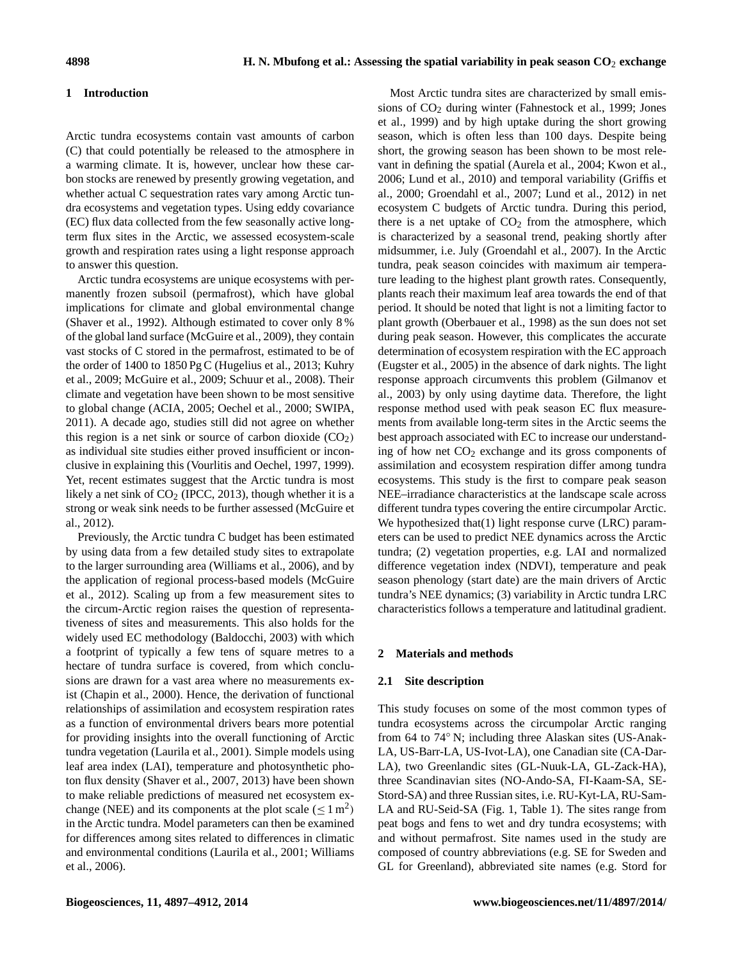#### **1 Introduction**

Arctic tundra ecosystems contain vast amounts of carbon (C) that could potentially be released to the atmosphere in a warming climate. It is, however, unclear how these carbon stocks are renewed by presently growing vegetation, and whether actual C sequestration rates vary among Arctic tundra ecosystems and vegetation types. Using eddy covariance (EC) flux data collected from the few seasonally active longterm flux sites in the Arctic, we assessed ecosystem-scale growth and respiration rates using a light response approach to answer this question.

Arctic tundra ecosystems are unique ecosystems with permanently frozen subsoil (permafrost), which have global implications for climate and global environmental change (Shaver et al., 1992). Although estimated to cover only 8 % of the global land surface (McGuire et al., 2009), they contain vast stocks of C stored in the permafrost, estimated to be of the order of 1400 to 1850 Pg C (Hugelius et al., 2013; Kuhry et al., 2009; McGuire et al., 2009; Schuur et al., 2008). Their climate and vegetation have been shown to be most sensitive to global change (ACIA, 2005; Oechel et al., 2000; SWIPA, 2011). A decade ago, studies still did not agree on whether this region is a net sink or source of carbon dioxide  $(CO<sub>2</sub>)$ as individual site studies either proved insufficient or inconclusive in explaining this (Vourlitis and Oechel, 1997, 1999). Yet, recent estimates suggest that the Arctic tundra is most likely a net sink of  $CO<sub>2</sub>$  (IPCC, 2013), though whether it is a strong or weak sink needs to be further assessed (McGuire et al., 2012).

Previously, the Arctic tundra C budget has been estimated by using data from a few detailed study sites to extrapolate to the larger surrounding area (Williams et al., 2006), and by the application of regional process-based models (McGuire et al., 2012). Scaling up from a few measurement sites to the circum-Arctic region raises the question of representativeness of sites and measurements. This also holds for the widely used EC methodology (Baldocchi, 2003) with which a footprint of typically a few tens of square metres to a hectare of tundra surface is covered, from which conclusions are drawn for a vast area where no measurements exist (Chapin et al., 2000). Hence, the derivation of functional relationships of assimilation and ecosystem respiration rates as a function of environmental drivers bears more potential for providing insights into the overall functioning of Arctic tundra vegetation (Laurila et al., 2001). Simple models using leaf area index (LAI), temperature and photosynthetic photon flux density (Shaver et al., 2007, 2013) have been shown to make reliable predictions of measured net ecosystem exchange (NEE) and its components at the plot scale ( $\leq 1 \text{ m}^2$ ) in the Arctic tundra. Model parameters can then be examined for differences among sites related to differences in climatic and environmental conditions (Laurila et al., 2001; Williams et al., 2006).

Most Arctic tundra sites are characterized by small emissions of CO<sup>2</sup> during winter (Fahnestock et al., 1999; Jones et al., 1999) and by high uptake during the short growing season, which is often less than 100 days. Despite being short, the growing season has been shown to be most relevant in defining the spatial (Aurela et al., 2004; Kwon et al., 2006; Lund et al., 2010) and temporal variability (Griffis et al., 2000; Groendahl et al., 2007; Lund et al., 2012) in net ecosystem C budgets of Arctic tundra. During this period, there is a net uptake of  $CO<sub>2</sub>$  from the atmosphere, which is characterized by a seasonal trend, peaking shortly after midsummer, i.e. July (Groendahl et al., 2007). In the Arctic tundra, peak season coincides with maximum air temperature leading to the highest plant growth rates. Consequently, plants reach their maximum leaf area towards the end of that period. It should be noted that light is not a limiting factor to plant growth (Oberbauer et al., 1998) as the sun does not set during peak season. However, this complicates the accurate determination of ecosystem respiration with the EC approach (Eugster et al., 2005) in the absence of dark nights. The light response approach circumvents this problem (Gilmanov et al., 2003) by only using daytime data. Therefore, the light response method used with peak season EC flux measurements from available long-term sites in the Arctic seems the best approach associated with EC to increase our understanding of how net  $CO<sub>2</sub>$  exchange and its gross components of assimilation and ecosystem respiration differ among tundra ecosystems. This study is the first to compare peak season NEE–irradiance characteristics at the landscape scale across different tundra types covering the entire circumpolar Arctic. We hypothesized that [\(1\)](#page-3-0) light response curve (LRC) parameters can be used to predict NEE dynamics across the Arctic tundra; [\(2\)](#page-4-0) vegetation properties, e.g. LAI and normalized difference vegetation index (NDVI), temperature and peak season phenology (start date) are the main drivers of Arctic tundra's NEE dynamics; (3) variability in Arctic tundra LRC characteristics follows a temperature and latitudinal gradient.

#### **2 Materials and methods**

## **2.1 Site description**

This study focuses on some of the most common types of tundra ecosystems across the circumpolar Arctic ranging from 64 to 74◦ N; including three Alaskan sites (US-Anak-LA, US-Barr-LA, US-Ivot-LA), one Canadian site (CA-Dar-LA), two Greenlandic sites (GL-Nuuk-LA, GL-Zack-HA), three Scandinavian sites (NO-Ando-SA, FI-Kaam-SA, SE-Stord-SA) and three Russian sites, i.e. RU-Kyt-LA, RU-Sam-LA and RU-Seid-SA (Fig. 1, Table 1). The sites range from peat bogs and fens to wet and dry tundra ecosystems; with and without permafrost. Site names used in the study are composed of country abbreviations (e.g. SE for Sweden and GL for Greenland), abbreviated site names (e.g. Stord for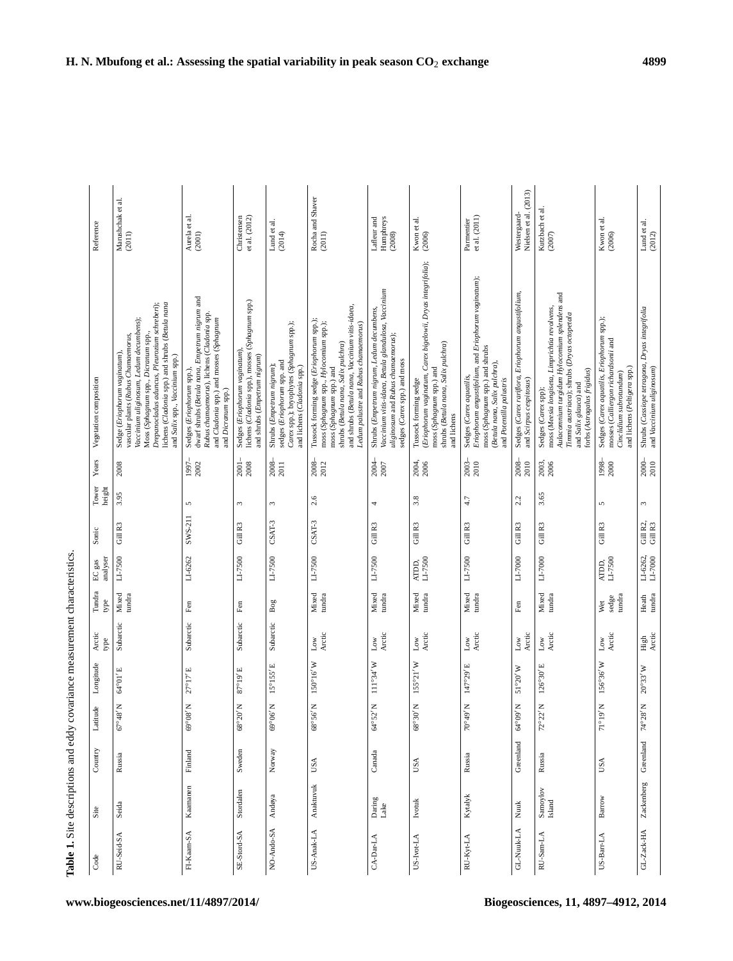Table 1. Site descriptions and eddy covariance measurement characteristics.

| Code         | Site                                                           | $\operatorname{Country}$ | Latitude                        | Longitude                    | Arctic<br>type            | Tundra<br>type         | analyser<br>$\rm EC\,gas$                                  | Sonic                | Tower<br>height | Years               | Vegetation composition                                                                                                                                                                                                                                                                        | Reference                                                                |
|--------------|----------------------------------------------------------------|--------------------------|---------------------------------|------------------------------|---------------------------|------------------------|------------------------------------------------------------|----------------------|-----------------|---------------------|-----------------------------------------------------------------------------------------------------------------------------------------------------------------------------------------------------------------------------------------------------------------------------------------------|--------------------------------------------------------------------------|
| RU-Seid-SA   | Seida                                                          | Russia                   | $^{48}$ N<br>$67^\circ$         | 64°01'E                      | Subarctic                 | Mixed<br>tundra        | LI-7500                                                    | Gill R3              | 3.95            | 2008                | Drepanocladus aduncus, Pleurozium schreberi);<br>lichens (Cladonia spp.) and shrubs (Betula nana<br>Vaccinium uliginosum, Ledum decumbens);<br>Moss (Sphagnum spp., Dicranum spp.,<br>vascular plants (Rubus Chamaemorus,<br>Sedge (Eriophorum vaginatum),<br>and Salix spp., Vaccinium spp.) | $\begin{array}{ll} \text{Marushchak et al.}\\ \text{(2011)} \end{array}$ |
| FI-Kaam-SA   | Kaamanen                                                       | Finland                  | $18\,$ M<br>$69^{\circ}$        | $27^{\circ}17'E$             | Subarctic                 | $_{\rm Fen}$           | LI-6262                                                    | SWS-211              | 5               | $1997 - 2002$       | dwarf shrubs (Betula nana, Empetrum nigrum and<br>Rubus chamaemorus), lichens (Cladonia spp.<br>and Cladonia spp.) and mosses (Sphagnum<br>Sedges (Eriophorum spp.)<br>and Dicranum spp.)                                                                                                     | Aurela et al.<br>(2001)                                                  |
| SE-Stord-SA  | Stordalen                                                      | Sweden                   | 68°20' N                        | 87°19'E                      | Subarctic                 | Fen                    | LI-7500                                                    | Gill R3              | $\omega$        | 2001-<br>2008       | lichens (Cladonia spp.), mosses (Sphagnum spp.)<br>Sedges (Eriophorum vaginatum).<br>and shrubs (Empetrum nigrum)                                                                                                                                                                             | et al. $(2012)$<br>Christensen                                           |
| NO-Ando-SA   | Andøya                                                         | Norway                   | $90^{\rm o}06$ N                | $15^{\circ}155'\,\mathrm{E}$ | Subarctic                 | Bog                    | LI-7500                                                    | $CSAT-3$             | $\sim$          | 2008-<br>2011       | Carex spp.); bryophytes (Sphagnum spp.);<br>sedges (Eriophorum spp. and<br>Shrubs (Empetrum nigrum);<br>and lichens (Cladonia spp.)                                                                                                                                                           | Lund et al.<br>(2014)                                                    |
| US-Anak-LA   | Anaktuvuk                                                      | USA                      | 68°56' N                        | $150^{\circ}16'$ W           | Arctic<br>$_{\rm Low}$    | Mixed<br>tundra        | LI-7500                                                    | $CSAT-3$             | 2.6             | $\frac{2008}{2012}$ | and shrubs (Betula nana, Vaccinium vitis-idaea,<br>Tussock forming sedge (Eriophorum spp.);<br>moss (Sphagnum spp., Hylocomium spp.);<br>Ledum palustre and Rubus chamaemorus)<br>shrubs (Betula nana, Salix pulchra)<br>moss (Sphagnum spp.) and                                             | Rocha and Shaver<br>(2011)                                               |
| $CA-Dar-LA$  | Daring<br>Lake                                                 | Canada                   | $64^{\circ}52'$ N               | $111^{\circ}34'$ W           | Low<br>Arctic             | Mixed<br>tundra        | LI-7500                                                    | Gill R3              | 4               | $\frac{2004}{2007}$ | Vaccinium vitis-idaea, Betula glandulosa, Vaccinium<br>Shrubs (Empetrum nigrum, Ledum decumbens,<br>uliginosum and Rubus chamaemorus);<br>sedges (Carex spp.) and moss                                                                                                                        | Lafleur and<br>Humphreys<br>(2008)                                       |
| US-Ivot-LA   | Ivotuk                                                         | USA                      | $30^{\prime}$ N<br>$68^{\circ}$ | $155°21'$ W                  | Arctic<br>$_{\rm Low}$    | Mixed<br>tundra        | $ATDD,$<br>LI-7500                                         | Gill R3              | 3.8             | 2004,               | (Eriophorum vaginatum, Carex bigelowii, Dryas integrifolia);<br>shrubs (Betula nana, Salix pulchra)<br>moss (Sphagnum spp.) and<br>Tussock forming sedge<br>and lichens                                                                                                                       | Kwon et al.<br>(2006)                                                    |
| RU-Kyt-LA    | Kytalyk                                                        | Russia                   | $\rm N$ $\beta t$<br>$\approx$  | 147°29' E                    | Arctic<br>$_{\text{Low}}$ | Mixed<br>tundra        | LI-7500                                                    | Gill R3              | 4.7             | $2003 -$<br>$2010$  | Eriophorum angustifolium, and Eriophorum vaginatum);<br>moss (Sphagnum spp.) and shrubs<br>(Betula nana, Salix pulchra),<br>Sedges (Carex aquatilis,<br>and Potentilla palustris                                                                                                              | et al. (2011)<br>Parmentier                                              |
| GL-Nuuk-LA   | Nuuk                                                           | Greenland                | M/60<br>°€                      | 51°20'W                      | Arctic<br>Low             | $_{\rm Fen}$           | $_{\rm L I\text{-}7000}$                                   | Gill R3              | 2.2             | 2008-<br>2010       | Sedges (Carex rariflora, Eriophorum angustifolium,<br>and Scirpus cespitosus)                                                                                                                                                                                                                 | Nielsen et al. (2013)<br>Westergaard-                                    |
| RU-Sam-LA    | $\begin{array}{c} \text{Samoylov}\\ \text{Island} \end{array}$ | Russia                   | $72^{\circ}22'$ N               | $126^{\circ}30'$ E           | Arctic<br>$_{\rm Low}$    | Mixed<br>tundra        | LI-7000                                                    | $Gill$ $\mathbb{R}3$ | 3.65            | 2003,<br>2006       | Aulacomnium turgidum Hylocomium splendens and<br>moss (Meesia longiseta, Limprichtia revolvens,<br>Timmia austriaca); shrubs (Dryas octopetala<br>forbs (Astragalus frigidus)<br>and Salix glauca) and<br>Sedges (Carex spp);                                                                 | Kutzbach et al.<br>$(2007)$                                              |
| $US-Barr-LA$ | Barrow                                                         | USA                      | $10.16$ K                       | $156°36'$ W                  | Arctic<br>Low             | sedge<br>tundra<br>Wet | $\begin{array}{c}\text{ATDD},\\ \text{LI-7500}\end{array}$ | Gill R3              | 5               | $\frac{1998}{2000}$ | Sedges (Carex aquatilis, Eriophorum spp.);<br>mosses (Calliergon richardsonii and<br>and lichens (Peltigera spp.)<br>Cinclidium subrotundum)                                                                                                                                                  | Kwon et al.<br>(2006)                                                    |
| $GL-Zack-HA$ | Zackenberg                                                     | Greenland                | $74^{\circ}28'$ N               | $20^{\circ}33'$ W            | High<br>Arctic            | $\rm{Heath}$ tundra    | LI-6262,<br>LI-7000                                        | Gill R2,<br>Gill R3  | $\omega$        | $2000 -$<br>$2010$  | Shrubs (Cassiope tetragona, Dryas integrifolia<br>and Vaccinium uliginosum)                                                                                                                                                                                                                   | Lund et al.<br>$(2012)$                                                  |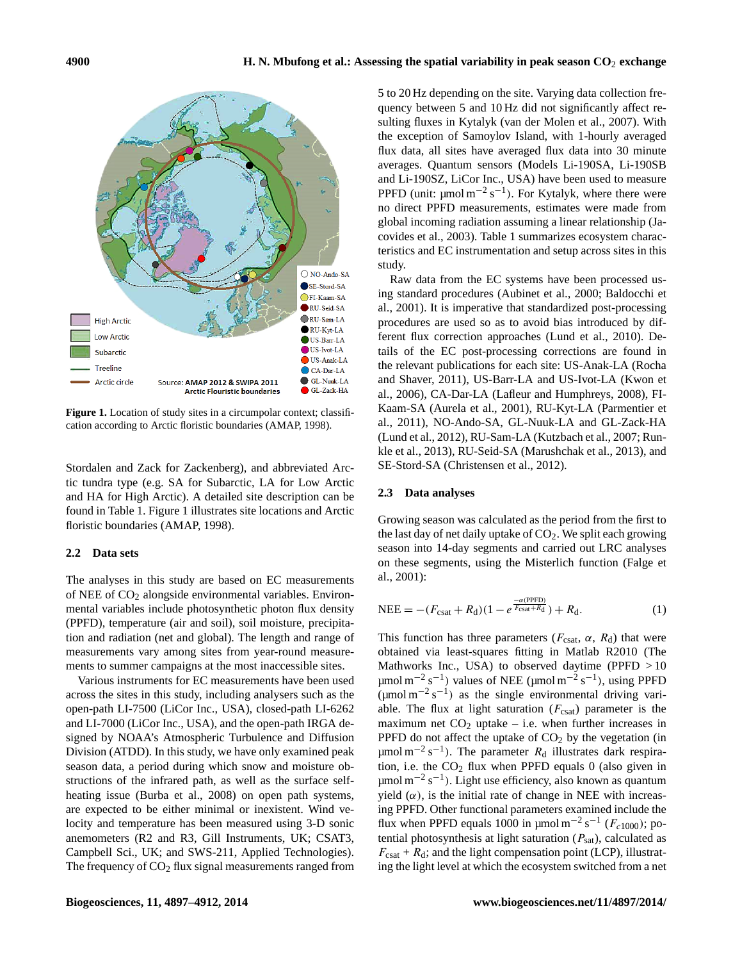

**Figure 1.** Location of study sites in a circumpolar context; classification according to Arctic floristic boundaries (AMAP, 1998).

Stordalen and Zack for Zackenberg), and abbreviated Arctic tundra type (e.g. SA for Subarctic, LA for Low Arctic and HA for High Arctic). A detailed site description can be found in Table 1. Figure 1 illustrates site locations and Arctic floristic boundaries (AMAP, 1998).

#### **2.2 Data sets**

The analyses in this study are based on EC measurements of NEE of  $CO<sub>2</sub>$  alongside environmental variables. Environmental variables include photosynthetic photon flux density (PPFD), temperature (air and soil), soil moisture, precipitation and radiation (net and global). The length and range of measurements vary among sites from year-round measurements to summer campaigns at the most inaccessible sites.

Various instruments for EC measurements have been used across the sites in this study, including analysers such as the open-path LI-7500 (LiCor Inc., USA), closed-path LI-6262 and LI-7000 (LiCor Inc., USA), and the open-path IRGA designed by NOAA's Atmospheric Turbulence and Diffusion Division (ATDD). In this study, we have only examined peak season data, a period during which snow and moisture obstructions of the infrared path, as well as the surface selfheating issue (Burba et al., 2008) on open path systems, are expected to be either minimal or inexistent. Wind velocity and temperature has been measured using 3-D sonic anemometers (R2 and R3, Gill Instruments, UK; CSAT3, Campbell Sci., UK; and SWS-211, Applied Technologies). The frequency of  $CO<sub>2</sub>$  flux signal measurements ranged from 5 to 20 Hz depending on the site. Varying data collection frequency between 5 and 10 Hz did not significantly affect resulting fluxes in Kytalyk (van der Molen et al., 2007). With the exception of Samoylov Island, with 1-hourly averaged flux data, all sites have averaged flux data into 30 minute averages. Quantum sensors (Models Li-190SA, Li-190SB and Li-190SZ, LiCor Inc., USA) have been used to measure PPFD (unit:  $\mu$ mol m<sup>-2</sup> s<sup>-1</sup>). For Kytalyk, where there were no direct PPFD measurements, estimates were made from global incoming radiation assuming a linear relationship (Jacovides et al., 2003). Table 1 summarizes ecosystem characteristics and EC instrumentation and setup across sites in this study.

Raw data from the EC systems have been processed using standard procedures (Aubinet et al., 2000; Baldocchi et al., 2001). It is imperative that standardized post-processing procedures are used so as to avoid bias introduced by different flux correction approaches (Lund et al., 2010). Details of the EC post-processing corrections are found in the relevant publications for each site: US-Anak-LA (Rocha and Shaver, 2011), US-Barr-LA and US-Ivot-LA (Kwon et al., 2006), CA-Dar-LA (Lafleur and Humphreys, 2008), FI-Kaam-SA (Aurela et al., 2001), RU-Kyt-LA (Parmentier et al., 2011), NO-Ando-SA, GL-Nuuk-LA and GL-Zack-HA (Lund et al., 2012), RU-Sam-LA (Kutzbach et al., 2007; Runkle et al., 2013), RU-Seid-SA (Marushchak et al., 2013), and SE-Stord-SA (Christensen et al., 2012).

#### **2.3 Data analyses**

Growing season was calculated as the period from the first to the last day of net daily uptake of  $CO<sub>2</sub>$ . We split each growing season into 14-day segments and carried out LRC analyses on these segments, using the Misterlich function (Falge et al., 2001):

<span id="page-3-0"></span>NEE = 
$$
-(F_{\text{csat}} + R_d)(1 - e^{\frac{-\alpha(\text{PPFD})}{F_{\text{csat}} + R_d}}) + R_d.
$$
 (1)

This function has three parameters ( $F_{\text{csat}}$ ,  $\alpha$ ,  $R_d$ ) that were obtained via least-squares fitting in Matlab R2010 (The Mathworks Inc., USA) to observed daytime (PPFD > 10  $\mu$ mol m<sup>-2</sup> s<sup>-1</sup>) values of NEE ( $\mu$ mol m<sup>-2</sup> s<sup>-1</sup>), using PPFD  $(\mu$ mol m<sup>-2</sup> s<sup>-1</sup>) as the single environmental driving variable. The flux at light saturation  $(F_{\text{csat}})$  parameter is the maximum net  $CO<sub>2</sub>$  uptake – i.e. when further increases in PPFD do not affect the uptake of  $CO<sub>2</sub>$  by the vegetation (in  $\mu$ mol m<sup>-2</sup> s<sup>-1</sup>). The parameter  $R_d$  illustrates dark respiration, i.e. the  $CO<sub>2</sub>$  flux when PPFD equals 0 (also given in µmol m<sup>-2</sup> s<sup>-1</sup>). Light use efficiency, also known as quantum yield  $(\alpha)$ , is the initial rate of change in NEE with increasing PPFD. Other functional parameters examined include the flux when PPFD equals 1000 in  $\mu$ mol m<sup>-2</sup> s<sup>-1</sup> ( $F_{c1000}$ ); potential photosynthesis at light saturation  $(P_{sat})$ , calculated as  $F_{\text{csat}} + R_d$ ; and the light compensation point (LCP), illustrating the light level at which the ecosystem switched from a net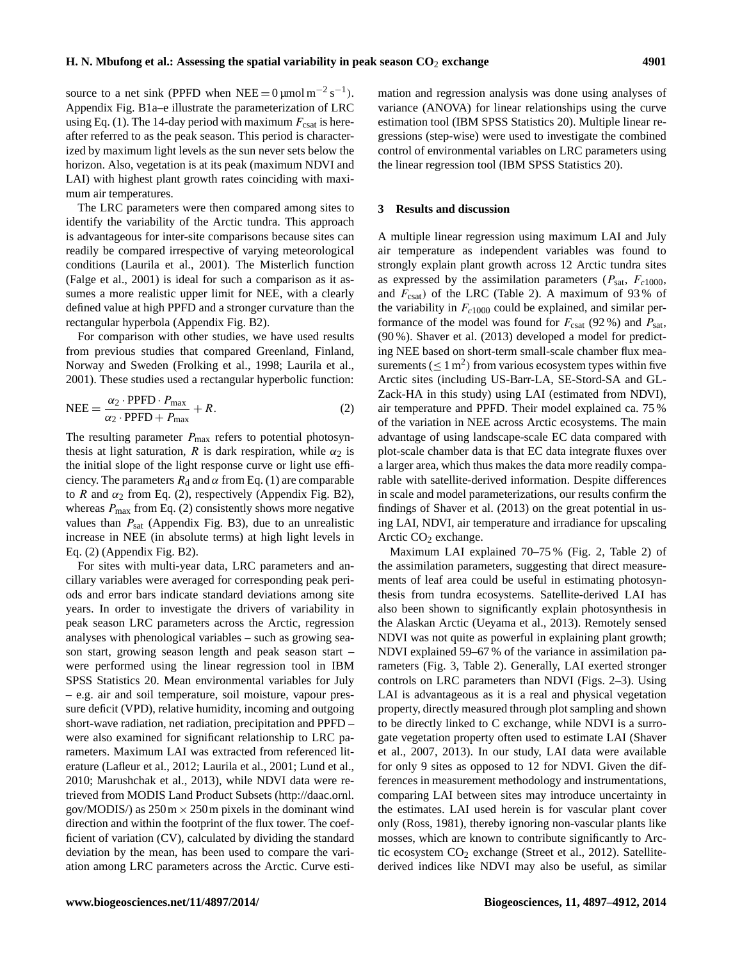source to a net sink (PPFD when NEE =  $0 \mu$ mol m<sup>-2</sup> s<sup>-1</sup>). Appendix Fig. B1a–e illustrate the parameterization of LRC using Eq. [\(1\)](#page-3-0). The 14-day period with maximum  $F_{\text{csat}}$  is hereafter referred to as the peak season. This period is characterized by maximum light levels as the sun never sets below the horizon. Also, vegetation is at its peak (maximum NDVI and LAI) with highest plant growth rates coinciding with maximum air temperatures.

The LRC parameters were then compared among sites to identify the variability of the Arctic tundra. This approach is advantageous for inter-site comparisons because sites can readily be compared irrespective of varying meteorological conditions (Laurila et al., 2001). The Misterlich function (Falge et al., 2001) is ideal for such a comparison as it assumes a more realistic upper limit for NEE, with a clearly defined value at high PPFD and a stronger curvature than the rectangular hyperbola (Appendix Fig. B2).

For comparison with other studies, we have used results from previous studies that compared Greenland, Finland, Norway and Sweden (Frolking et al., 1998; Laurila et al., 2001). These studies used a rectangular hyperbolic function:

$$
NEE = \frac{\alpha_2 \cdot \text{PPFD} \cdot P_{\text{max}}}{\alpha_2 \cdot \text{PPFD} + P_{\text{max}}} + R. \tag{2}
$$

The resulting parameter  $P_{\text{max}}$  refers to potential photosynthesis at light saturation, R is dark respiration, while  $\alpha_2$  is the initial slope of the light response curve or light use efficiency. The parameters  $R_d$  and  $\alpha$  from Eq. [\(1\)](#page-3-0) are comparable to R and  $\alpha_2$  from Eq. [\(2\)](#page-4-0), respectively (Appendix Fig. B2), whereas  $P_{\text{max}}$  from Eq. [\(2\)](#page-4-0) consistently shows more negative values than  $P_{\text{sat}}$  (Appendix Fig. B3), due to an unrealistic increase in NEE (in absolute terms) at high light levels in Eq. [\(2\)](#page-4-0) (Appendix Fig. B2).

For sites with multi-year data, LRC parameters and ancillary variables were averaged for corresponding peak periods and error bars indicate standard deviations among site years. In order to investigate the drivers of variability in peak season LRC parameters across the Arctic, regression analyses with phenological variables – such as growing season start, growing season length and peak season start – were performed using the linear regression tool in IBM SPSS Statistics 20. Mean environmental variables for July – e.g. air and soil temperature, soil moisture, vapour pressure deficit (VPD), relative humidity, incoming and outgoing short-wave radiation, net radiation, precipitation and PPFD – were also examined for significant relationship to LRC parameters. Maximum LAI was extracted from referenced literature (Lafleur et al., 2012; Laurila et al., 2001; Lund et al., 2010; Marushchak et al., 2013), while NDVI data were retrieved from MODIS Land Product Subsets [\(http://daac.ornl.](http://daac.ornl.gov/MODIS/) [gov/MODIS/\)](http://daac.ornl.gov/MODIS/) as  $250 \text{ m} \times 250 \text{ m}$  pixels in the dominant wind direction and within the footprint of the flux tower. The coefficient of variation (CV), calculated by dividing the standard deviation by the mean, has been used to compare the variation among LRC parameters across the Arctic. Curve estimation and regression analysis was done using analyses of variance (ANOVA) for linear relationships using the curve estimation tool (IBM SPSS Statistics 20). Multiple linear regressions (step-wise) were used to investigate the combined control of environmental variables on LRC parameters using the linear regression tool (IBM SPSS Statistics 20).

#### **3 Results and discussion**

A multiple linear regression using maximum LAI and July air temperature as independent variables was found to strongly explain plant growth across 12 Arctic tundra sites as expressed by the assimilation parameters ( $P_{\text{sat}}$ ,  $F_{c1000}$ , and  $F_{\text{csat}}$ ) of the LRC (Table 2). A maximum of 93% of the variability in  $F_{c1000}$  could be explained, and similar performance of the model was found for  $F_{\text{csat}}$  (92 %) and  $P_{\text{sat}}$ , (90 %). Shaver et al. (2013) developed a model for predicting NEE based on short-term small-scale chamber flux measurements ( $\leq 1 \text{ m}^2$ ) from various ecosystem types within five Arctic sites (including US-Barr-LA, SE-Stord-SA and GL-Zack-HA in this study) using LAI (estimated from NDVI), air temperature and PPFD. Their model explained ca. 75 % of the variation in NEE across Arctic ecosystems. The main advantage of using landscape-scale EC data compared with plot-scale chamber data is that EC data integrate fluxes over a larger area, which thus makes the data more readily comparable with satellite-derived information. Despite differences in scale and model parameterizations, our results confirm the findings of Shaver et al. (2013) on the great potential in using LAI, NDVI, air temperature and irradiance for upscaling Arctic  $CO<sub>2</sub>$  exchange.

<span id="page-4-0"></span>Maximum LAI explained 70–75 % (Fig. 2, Table 2) of the assimilation parameters, suggesting that direct measurements of leaf area could be useful in estimating photosynthesis from tundra ecosystems. Satellite-derived LAI has also been shown to significantly explain photosynthesis in the Alaskan Arctic (Ueyama et al., 2013). Remotely sensed NDVI was not quite as powerful in explaining plant growth; NDVI explained 59–67 % of the variance in assimilation parameters (Fig. 3, Table 2). Generally, LAI exerted stronger controls on LRC parameters than NDVI (Figs. 2–3). Using LAI is advantageous as it is a real and physical vegetation property, directly measured through plot sampling and shown to be directly linked to C exchange, while NDVI is a surrogate vegetation property often used to estimate LAI (Shaver et al., 2007, 2013). In our study, LAI data were available for only 9 sites as opposed to 12 for NDVI. Given the differences in measurement methodology and instrumentations, comparing LAI between sites may introduce uncertainty in the estimates. LAI used herein is for vascular plant cover only (Ross, 1981), thereby ignoring non-vascular plants like mosses, which are known to contribute significantly to Arctic ecosystem  $CO<sub>2</sub>$  exchange (Street et al., 2012). Satellitederived indices like NDVI may also be useful, as similar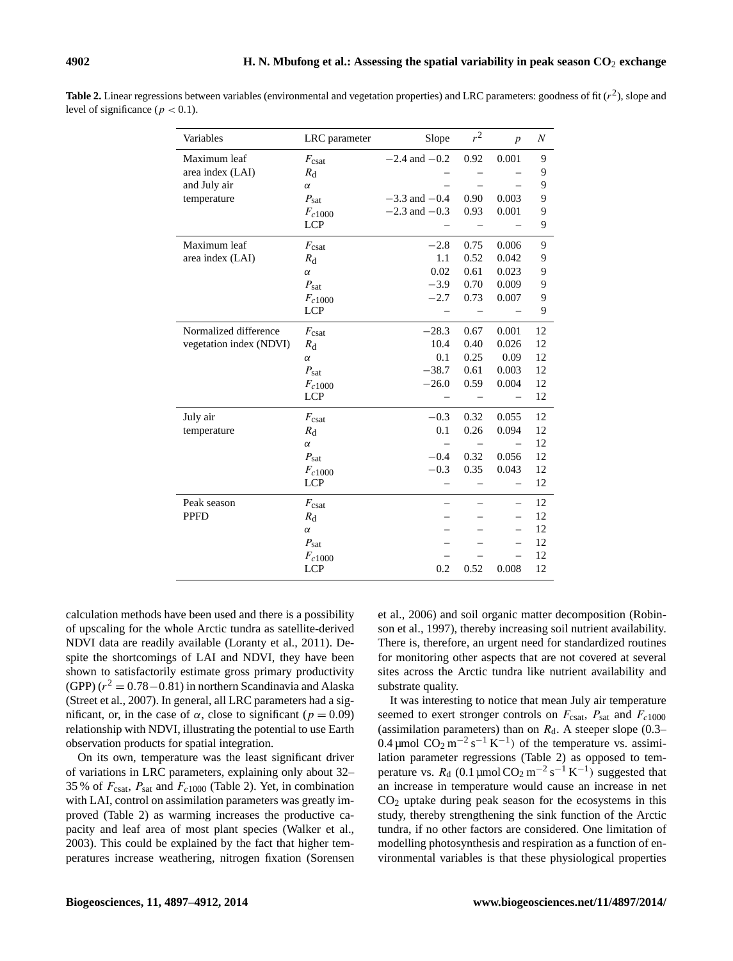| Variables               | LRC parameter     | Slope             | $r^2$ | $\boldsymbol{p}$ | $\boldsymbol{N}$ |
|-------------------------|-------------------|-------------------|-------|------------------|------------------|
| Maximum leaf            | $F_{\text{csat}}$ | $-2.4$ and $-0.2$ | 0.92  | 0.001            | 9                |
| area index (LAI)        | $R_{\rm d}$       |                   |       |                  | 9                |
| and July air            | $\alpha$          |                   |       |                  | 9                |
| temperature             | $P_{\text{sat}}$  | $-3.3$ and $-0.4$ | 0.90  | 0.003            | 9                |
|                         | $F_{c1000}$       | $-2.3$ and $-0.3$ | 0.93  | 0.001            | 9                |
|                         | <b>LCP</b>        |                   |       |                  | 9                |
| Maximum leaf            | $F_{\text{csat}}$ | $-2.8$            | 0.75  | 0.006            | 9                |
| area index (LAI)        | $R_{\rm d}$       | 1.1               | 0.52  | 0.042            | 9                |
|                         | $\alpha$          | 0.02              | 0.61  | 0.023            | 9                |
|                         | $P_{\text{sat}}$  | $-3.9$            | 0.70  | 0.009            | 9                |
|                         | $F_{c1000}$       | $-2.7$            | 0.73  | 0.007            | 9                |
|                         | LCP               |                   |       |                  | 9                |
| Normalized difference   | $F_{\text{csat}}$ | $-28.3$           | 0.67  | 0.001            | 12               |
| vegetation index (NDVI) | $R_{\rm d}$       | 10.4              | 0.40  | 0.026            | 12               |
|                         | $\alpha$          | 0.1               | 0.25  | 0.09             | 12               |
|                         | $P_{\text{sat}}$  | $-38.7$           | 0.61  | 0.003            | 12               |
|                         | $F_{c1000}$       | $-26.0$           | 0.59  | 0.004            | 12               |
|                         | <b>LCP</b>        |                   |       |                  | 12               |
| July air                | $F_{\text{csat}}$ | $-0.3$            | 0.32  | 0.055            | 12               |
| temperature             | $R_{\rm d}$       | 0.1               | 0.26  | 0.094            | 12               |
|                         | $\alpha$          |                   |       |                  | 12               |
|                         | $P_{\text{sat}}$  | $-0.4$            | 0.32  | 0.056            | 12               |
|                         | $F_{c1000}$       | $-0.3$            | 0.35  | 0.043            | 12               |
|                         | LCP               |                   |       |                  | 12               |
| Peak season             | $F_{\text{csat}}$ |                   |       |                  | 12               |
| <b>PPFD</b>             | $R_{\rm d}$       |                   |       |                  | 12               |
|                         | $\alpha$          |                   |       |                  | 12               |
|                         | $P_{\text{sat}}$  |                   |       |                  | 12               |
|                         | $F_{c1000}$       |                   |       |                  | 12               |
|                         | <b>LCP</b>        | 0.2               | 0.52  | 0.008            | 12               |

**Table 2.** Linear regressions between variables (environmental and vegetation properties) and LRC parameters: goodness of fit  $(r^2)$ , slope and level of significance ( $p < 0.1$ ).

calculation methods have been used and there is a possibility of upscaling for the whole Arctic tundra as satellite-derived NDVI data are readily available (Loranty et al., 2011). Despite the shortcomings of LAI and NDVI, they have been shown to satisfactorily estimate gross primary productivity (GPP)  $(r^2 = 0.78 - 0.81)$  in northern Scandinavia and Alaska (Street et al., 2007). In general, all LRC parameters had a significant, or, in the case of  $\alpha$ , close to significant ( $p = 0.09$ ) relationship with NDVI, illustrating the potential to use Earth observation products for spatial integration.

On its own, temperature was the least significant driver of variations in LRC parameters, explaining only about 32– 35 % of  $F_{\text{csat}}$ ,  $P_{\text{sat}}$  and  $F_{c1000}$  (Table 2). Yet, in combination with LAI, control on assimilation parameters was greatly improved (Table 2) as warming increases the productive capacity and leaf area of most plant species (Walker et al., 2003). This could be explained by the fact that higher temperatures increase weathering, nitrogen fixation (Sorensen et al., 2006) and soil organic matter decomposition (Robinson et al., 1997), thereby increasing soil nutrient availability. There is, therefore, an urgent need for standardized routines for monitoring other aspects that are not covered at several sites across the Arctic tundra like nutrient availability and substrate quality.

It was interesting to notice that mean July air temperature seemed to exert stronger controls on  $F_{\text{csat}}$ ,  $P_{\text{sat}}$  and  $F_{c1000}$ (assimilation parameters) than on  $R_d$ . A steeper slope (0.3– 0.4 µmol  $CO_2$  m<sup>-2</sup> s<sup>-1</sup> K<sup>-1</sup>) of the temperature vs. assimilation parameter regressions (Table 2) as opposed to temperature vs.  $R_d$  (0.1 µmol CO<sub>2</sub> m<sup>-2</sup> s<sup>-1</sup> K<sup>-1</sup>) suggested that an increase in temperature would cause an increase in net  $CO<sub>2</sub>$  uptake during peak season for the ecosystems in this study, thereby strengthening the sink function of the Arctic tundra, if no other factors are considered. One limitation of modelling photosynthesis and respiration as a function of environmental variables is that these physiological properties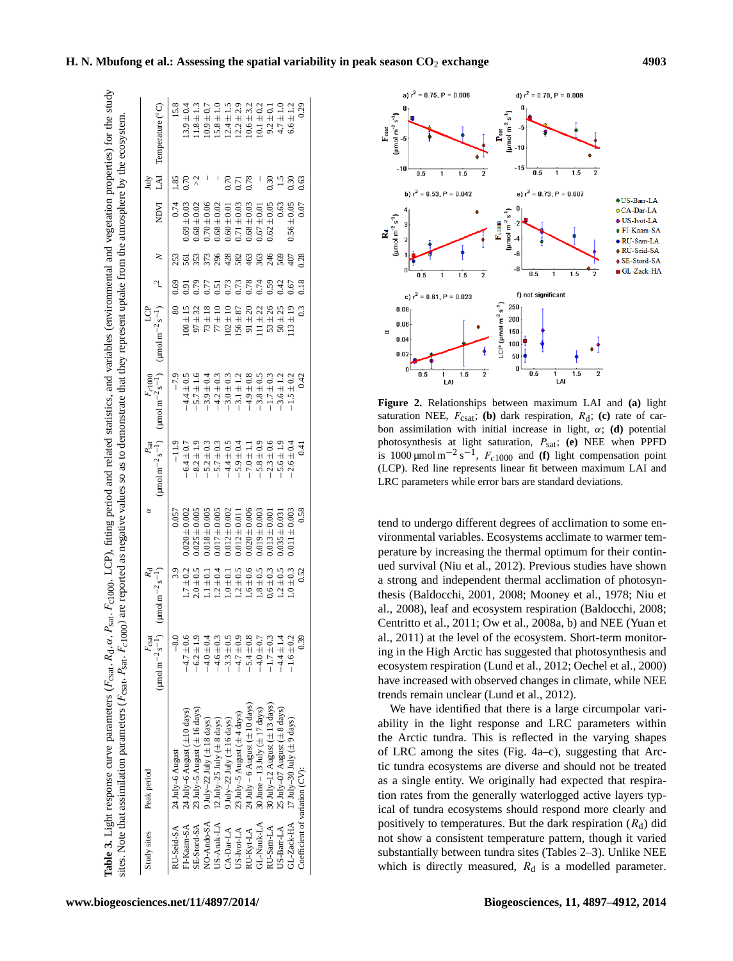|                                                                                                                                                                                                                                                                                                                                                 | NDVI LAI Temperature (°C)                                                                                                       | $13.9 \pm 0.4$                                              |
|-------------------------------------------------------------------------------------------------------------------------------------------------------------------------------------------------------------------------------------------------------------------------------------------------------------------------------------------------|---------------------------------------------------------------------------------------------------------------------------------|-------------------------------------------------------------|
|                                                                                                                                                                                                                                                                                                                                                 | July                                                                                                                            |                                                             |
|                                                                                                                                                                                                                                                                                                                                                 |                                                                                                                                 | $0.74$ 1.85<br>$0.70$ $0.91$ $561$ $0.69 \pm 0.03$ $0.70$   |
|                                                                                                                                                                                                                                                                                                                                                 |                                                                                                                                 |                                                             |
|                                                                                                                                                                                                                                                                                                                                                 |                                                                                                                                 | 80 0.69 253                                                 |
| are reported as negative values so as to demonstrate that they represent uptake from the atmosphere by the ecosystem.                                                                                                                                                                                                                           | (umol m <sup>-2</sup> s <sup>-1</sup> ) (umol m <sup>-2</sup> s <sup>-1</sup> ) (umol m <sup>-2</sup> s <sup>-1</sup> ) $r^2$ N |                                                             |
|                                                                                                                                                                                                                                                                                                                                                 | $r_{c1000}$                                                                                                                     | $-7.9$<br>$-4.4 \pm 0.5$                                    |
|                                                                                                                                                                                                                                                                                                                                                 |                                                                                                                                 | $-11.9$<br>$-6.4 \pm 0.7$                                   |
|                                                                                                                                                                                                                                                                                                                                                 |                                                                                                                                 | 0.057<br>$1.7 \pm 0.2$ 0.020 $\pm$ 0.002                    |
|                                                                                                                                                                                                                                                                                                                                                 | $\rm (mmol\,m^{-2}\,s^{-1})$                                                                                                    |                                                             |
|                                                                                                                                                                                                                                                                                                                                                 | <i>F</i> <sub>csat</sub><br>$(\text{mm} \cdot \text{m}^{-2} \text{ s}^{-1})$                                                    | $4.7 \pm 0.6$                                               |
| Table 3. Light response curve parameters (F <sub>csat</sub> , R <sub>d</sub> , a, R <sub>sat</sub> , F <sub>c1000</sub> , LCP), fitting period and related statistics, and variables (environmental and vegetation properties) for the study<br>sites. Note that assimilation parameters ( $F_{\text{csat}}$ , $P_{\text{sat}}$ , $F_{c1000}$ ) |                                                                                                                                 | T-Kaam-SA 24 July-6 August (±10 days)<br>$24$ July-6 August |
|                                                                                                                                                                                                                                                                                                                                                 | Study sites Peak period                                                                                                         |                                                             |

| Study sites  | Peak period                            | $F_{\text{csat}}$<br>(µmol m <sup>-2</sup> s <sup>-1</sup> ) | $(\mu$ mol m <sup>-2</sup> s <sup>-1</sup> ) |                   | $\rm{mmol~m^{-2}~s^{-1}}$<br>$P_{\rm sat}$ | (umol m <sup><math>-2</math></sup> s <sup><math>-1</math></sup> )<br>$r_{c1000}$ | ģ<br>(umol m <sup>-2</sup> s <sup>-1</sup> ) |                |     | NDVI              | N<br>Ìц      | Temperature (°C)          |
|--------------|----------------------------------------|--------------------------------------------------------------|----------------------------------------------|-------------------|--------------------------------------------|----------------------------------------------------------------------------------|----------------------------------------------|----------------|-----|-------------------|--------------|---------------------------|
| U-Seid-SA    | 24 July-6 August                       | $-8.0$                                                       | 3.9                                          | 0.057             |                                            |                                                                                  |                                              | 0.69           | 253 | 0.74              | .85          | $\frac{8}{2}$             |
| FI-Kaam-SA   | 24 July-6 August ( $\pm 10$ days)      | ٯ<br>$-4.7 \pm 0$                                            | $1.7 \pm 0.2$                                | $0.020 \pm 0.002$ | $-6.4 \pm 0.7$                             | $-4.4 \pm 0.5$                                                                   | $00 \pm 15$                                  |                | 561 | $0.69 \pm 0.03$   | 0.70         | $13.9 \pm 0.4$            |
| SE-Stord-SA  | 23 July-5 August ( $\pm$ 16 days)      | $-6.2 \pm 1$                                                 | $2.0 \pm 0.5$                                | $0.025 \pm 0.003$ | $-8.2 \pm 1.9$                             | $-5.7 \pm 1.6$                                                                   | $97 \pm 32$                                  |                | 353 | $0.68 \pm 0.02$   |              | $1.8 \pm 1.3$             |
| NO-Ando-SA   | 9 July-22 July $(\pm 18 \text{ days})$ | $-4.0 \pm 0$                                                 | $1.1 \pm 0.$                                 | $0.018 \pm 0.005$ | $5.2 \pm 0.3$                              | $-3.9 \pm 0.4$                                                                   | $73 \pm 18$                                  |                |     | $0.70 \pm 0.06$   |              | $0.9 \pm 0.7$             |
| $US-Anak-LA$ | 12 July-25 July $(\pm 8 \text{ days})$ | $-4.6 \pm 0$                                                 | $1.2 \pm 0.4$                                | $0.017 \pm 0.005$ | $-5.7 \pm 0.3$                             | $-4.2 \pm 0.3$                                                                   | $77 \pm 10$                                  | .51            | 296 | $0.68 \pm 0.02$   |              | $15.8 \pm 1.0$            |
| $CA-Dar-LA$  | 9 July-22 July ( $\pm$ 16 days)        | $-3.3 \pm 0$                                                 | $.0 \pm 0.$                                  | $0.012 \pm 0.002$ | $-4.4 \pm 0.5$                             | $-3.0 \pm 0.3$                                                                   | $02 \pm 10$                                  |                | 428 | $0.60 \pm 0.0$    | 0.70         | 1.5                       |
| US-Ivot-LA   | 23 July-5 August ( $\pm$ 4 days)       | $-4.7 \pm 0$                                                 | $1.2 \pm 0.5$                                | $0.012 \pm 0.01$  | $-5.9 \pm 0.4$                             | $-3.1 \pm 1.2$                                                                   | $56 \pm 87$                                  | 0.73           | 582 | $0.71 \pm 0.03$   | 171          | $12.2 \pm 2.9$            |
| RU-Kyt-LA    | $24$ July -6 August ( $\pm$ 10 days)   | $-5.4 \pm 0$                                                 | $1.6 \pm 0.6$                                | $0.020 \pm 0.006$ | $-7.0 \pm 1.1$                             | $-4.9 \pm 0.8$                                                                   | $91 \pm 20$                                  | 0.78           | 463 | $0.68 \pm 0.03$   | 0.78         | $0.6 \pm 3.2$             |
| GL-Nuuk-LA   | 30 June -- 13 July ( $\pm$ 17 days)    | $-4.0 \pm 0.$                                                | $.8 \pm 0.5$                                 | $0.019 \pm 0.003$ | $-5.8 \pm 0.9$                             | $-3.8 \pm 0.5$                                                                   | $11 \pm 22$                                  | .74            | 363 | $0.67 \pm 0.01$   | I            | $0.1 \pm 0.2$             |
| RU-Sam-LA    | 30 July-12 August $(\pm 13$ days)      | $1.7 \pm 0.3$                                                | $0.6 \pm 0.3$                                | $0.013 \pm 0.001$ | $-2.3 \pm 0.6$                             | $-1.7 \pm 0.3$                                                                   | $53 + 26$                                    | 59             | 246 | $\pm 0.05$<br>.62 | .30          | $9.2 \pm 0.$              |
| US-Barr-LA   | 25 July-07 August (±8 days)            | $-4.4 \pm 1$                                                 | $1.2 \pm 0.5$                                | $0.035 \pm 0.03$  | $-5.6 \pm 1.9$                             | $-3.6 \pm 1.2$                                                                   | $50 \pm 25$                                  |                | 569 | 0.63              | $\ddot{ }$ : | $4.7 \pm 1.0$             |
| GL-Zack-HA   | 17 July-30 July $(\pm 9 \text{ days})$ | $1.6 \pm 0$                                                  | $1.0 \pm 0.3$                                | $0.011 \pm 0.003$ | $-2.6 \pm 0.4$                             | $-1.5 \pm 0.2$                                                                   | $\pm 19$<br>$\ddot{5}$                       |                |     | $\pm 0.05$<br>.56 | 0.30         | $6.6 \pm 1.2$             |
|              | Coefficient of variation (CV):         |                                                              | 0.52                                         | 0.58              | $\overline{0.41}$                          | 0.42                                                                             | 0.3                                          | $\frac{8}{18}$ | 28  | 0.07              | .63          | $\widetilde{\phantom{a}}$ |
|              |                                        |                                                              |                                              |                   |                                            |                                                                                  |                                              |                |     |                   |              |                           |



**Figure 2.** Relationships between maximum LAI and **(a)** light saturation NEE,  $F_{\text{csat}}$ ; **(b)** dark respiration,  $R_d$ ; **(c)** rate of carbon assimilation with initial increase in light,  $\alpha$ ; **(d)** potential photosynthesis at light saturation, Psat; **(e)** NEE when PPFD is 1000  $\mu$ mol m<sup>-2</sup> s<sup>-1</sup>,  $F_{c1000}$  and **(f)** light compensation point (LCP). Red line represents linear fit between maximum LAI and LRC parameters while error bars are standard deviations.

tend to undergo different degrees of acclimation to some environmental variables. Ecosystems acclimate to warmer temperature by increasing the thermal optimum for their continued survival (Niu et al., 2012). Previous studies have shown a strong and independent thermal acclimation of photosynthesis (Baldocchi, 2001, 2008; Mooney et al., 1978; Niu et al., 2008), leaf and ecosystem respiration (Baldocchi, 2008; Centritto et al., 2011; Ow et al., 2008a, b) and NEE (Yuan et al., 2011) at the level of the ecosystem. Short-term monitoring in the High Arctic has suggested that photosynthesis and ecosystem respiration (Lund et al., 2012; Oechel et al., 2000) have increased with observed changes in climate, while NEE trends remain unclear (Lund et al., 2012).

We have identified that there is a large circumpolar variability in the light response and LRC parameters within the Arctic tundra. This is reflected in the varying shapes of LRC among the sites (Fig. 4a–c), suggesting that Arctic tundra ecosystems are diverse and should not be treated as a single entity. We originally had expected that respiration rates from the generally waterlogged active layers typical of tundra ecosystems should respond more clearly and positively to temperatures. But the dark respiration  $(R_d)$  did not show a consistent temperature pattern, though it varied substantially between tundra sites (Tables 2–3). Unlike NEE which is directly measured,  $R_d$  is a modelled parameter.

#### **H. N. Mbufong et al.: Assessing the spatial variability in peak season CO**<sup>2</sup> **exchange 4903**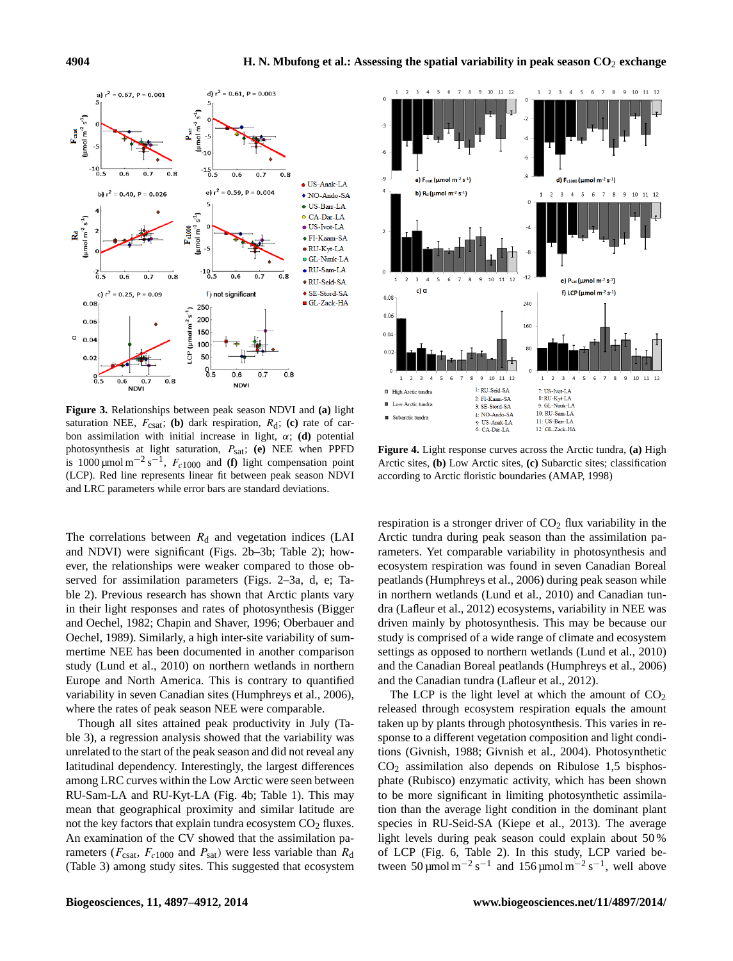

**Figure 3.** Relationships between peak season NDVI and **(a)** light saturation NEE,  $F_{\text{csat}}$ ; **(b)** dark respiration,  $R_d$ ; **(c)** rate of carbon assimilation with initial increase in light,  $\alpha$ ; **(d)** potential photosynthesis at light saturation, Psat; **(e)** NEE when PPFD is 1000  $\mu$ mol m<sup>-2</sup> s<sup>-1</sup>,  $F_{c1000}$  and **(f)** light compensation point (LCP). Red line represents linear fit between peak season NDVI and LRC parameters while error bars are standard deviations.

The correlations between  $R_d$  and vegetation indices (LAI and NDVI) were significant (Figs. 2b–3b; Table 2); however, the relationships were weaker compared to those observed for assimilation parameters (Figs. 2–3a, d, e; Table 2). Previous research has shown that Arctic plants vary in their light responses and rates of photosynthesis (Bigger and Oechel, 1982; Chapin and Shaver, 1996; Oberbauer and Oechel, 1989). Similarly, a high inter-site variability of summertime NEE has been documented in another comparison study (Lund et al., 2010) on northern wetlands in northern Europe and North America. This is contrary to quantified variability in seven Canadian sites (Humphreys et al., 2006), where the rates of peak season NEE were comparable.

Though all sites attained peak productivity in July (Table 3), a regression analysis showed that the variability was unrelated to the start of the peak season and did not reveal any latitudinal dependency. Interestingly, the largest differences among LRC curves within the Low Arctic were seen between RU-Sam-LA and RU-Kyt-LA (Fig. 4b; Table 1). This may mean that geographical proximity and similar latitude are not the key factors that explain tundra ecosystem  $CO<sub>2</sub>$  fluxes. An examination of the CV showed that the assimilation parameters ( $F_{\text{csat}}$ ,  $F_{c1000}$  and  $P_{\text{sat}}$ ) were less variable than  $R_{\text{d}}$ (Table 3) among study sites. This suggested that ecosystem



**Figure 4.** Light response curves across the Arctic tundra, **(a)** High Arctic sites, **(b)** Low Arctic sites, **(c)** Subarctic sites; classification according to Arctic floristic boundaries (AMAP, 1998)

respiration is a stronger driver of  $CO<sub>2</sub>$  flux variability in the Arctic tundra during peak season than the assimilation parameters. Yet comparable variability in photosynthesis and ecosystem respiration was found in seven Canadian Boreal peatlands (Humphreys et al., 2006) during peak season while in northern wetlands (Lund et al., 2010) and Canadian tundra (Lafleur et al., 2012) ecosystems, variability in NEE was driven mainly by photosynthesis. This may be because our study is comprised of a wide range of climate and ecosystem settings as opposed to northern wetlands (Lund et al., 2010) and the Canadian Boreal peatlands (Humphreys et al., 2006) and the Canadian tundra (Lafleur et al., 2012).

The LCP is the light level at which the amount of  $CO<sub>2</sub>$ released through ecosystem respiration equals the amount taken up by plants through photosynthesis. This varies in response to a different vegetation composition and light conditions (Givnish, 1988; Givnish et al., 2004). Photosynthetic  $CO<sub>2</sub>$  assimilation also depends on Ribulose 1,5 bisphosphate (Rubisco) enzymatic activity, which has been shown to be more significant in limiting photosynthetic assimilation than the average light condition in the dominant plant species in RU-Seid-SA (Kiepe et al., 2013). The average light levels during peak season could explain about 50 % of LCP (Fig. 6, Table 2). In this study, LCP varied between 50 µmol m<sup>-2</sup> s<sup>-1</sup> and 156 µmol m<sup>-2</sup> s<sup>-1</sup>, well above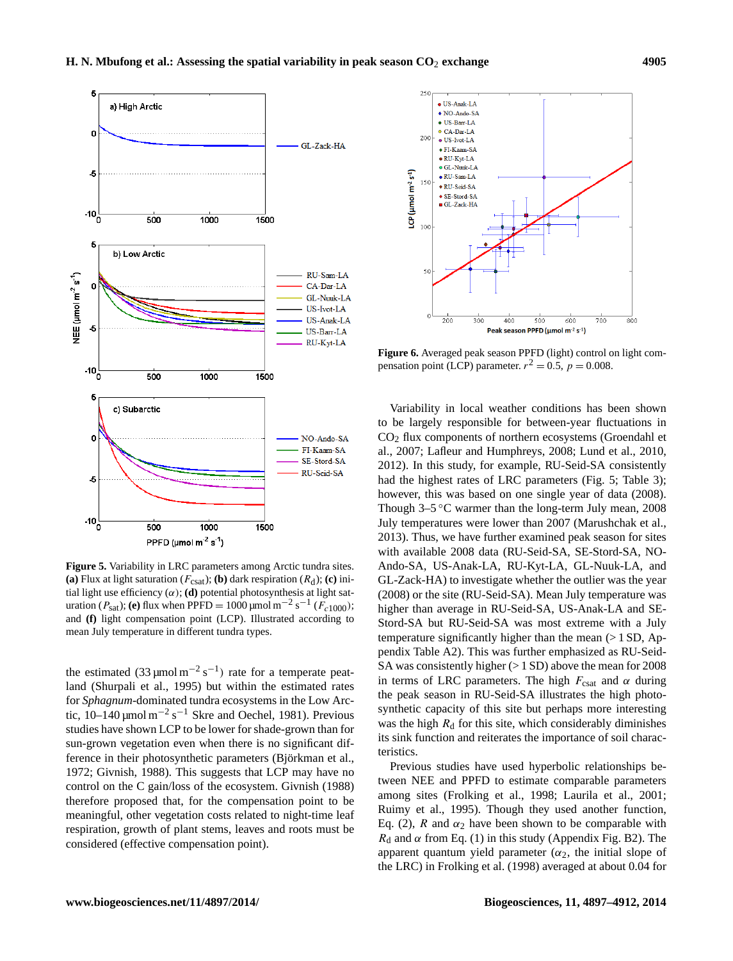## **H. N. Mbufong et al.: Assessing the spatial variability in peak season CO**<sup>2</sup> **exchange 4905**



**Figure 5.** Variability in LRC parameters among Arctic tundra sites. **(a)** Flux at light saturation ( $F_{\text{csat}}$ ); **(b)** dark respiration ( $R_d$ ); **(c)** initial light use efficiency  $(\alpha)$ ; **(d)** potential photosynthesis at light saturation (P<sub>sat</sub>); **(e)** flux when PPFD = 1000 μmol m<sup>-2</sup> s<sup>-1</sup> (F<sub>c1000</sub>); and **(f)** light compensation point (LCP). Illustrated according to mean July temperature in different tundra types.

the estimated  $(33 \mu \text{mol m}^{-2} \text{ s}^{-1})$  rate for a temperate peatland (Shurpali et al., 1995) but within the estimated rates for *Sphagnum*-dominated tundra ecosystems in the Low Arctic,  $10-140 \,\mathrm{\mu}$ mol m<sup>-2</sup> s<sup>-1</sup> Skre and Oechel, 1981). Previous studies have shown LCP to be lower for shade-grown than for sun-grown vegetation even when there is no significant difference in their photosynthetic parameters (Björkman et al., 1972; Givnish, 1988). This suggests that LCP may have no control on the C gain/loss of the ecosystem. Givnish (1988) therefore proposed that, for the compensation point to be meaningful, other vegetation costs related to night-time leaf respiration, growth of plant stems, leaves and roots must be considered (effective compensation point).



**Figure 6.** Averaged peak season PPFD (light) control on light compensation point (LCP) parameter.  $r^2 = 0.5$ ,  $p = 0.008$ .

Variability in local weather conditions has been shown to be largely responsible for between-year fluctuations in  $CO<sub>2</sub>$  flux components of northern ecosystems (Groendahl et al., 2007; Lafleur and Humphreys, 2008; Lund et al., 2010, 2012). In this study, for example, RU-Seid-SA consistently had the highest rates of LRC parameters (Fig. 5; Table 3); however, this was based on one single year of data (2008). Though  $3-5$  °C warmer than the long-term July mean, 2008 July temperatures were lower than 2007 (Marushchak et al., 2013). Thus, we have further examined peak season for sites with available 2008 data (RU-Seid-SA, SE-Stord-SA, NO-Ando-SA, US-Anak-LA, RU-Kyt-LA, GL-Nuuk-LA, and GL-Zack-HA) to investigate whether the outlier was the year (2008) or the site (RU-Seid-SA). Mean July temperature was higher than average in RU-Seid-SA, US-Anak-LA and SE-Stord-SA but RU-Seid-SA was most extreme with a July temperature significantly higher than the mean  $(>1$  SD, Appendix Table A2). This was further emphasized as RU-Seid-SA was consistently higher (> 1 SD) above the mean for 2008 in terms of LRC parameters. The high  $F_{\text{csat}}$  and  $\alpha$  during the peak season in RU-Seid-SA illustrates the high photosynthetic capacity of this site but perhaps more interesting was the high  $R_d$  for this site, which considerably diminishes its sink function and reiterates the importance of soil characteristics.

Previous studies have used hyperbolic relationships between NEE and PPFD to estimate comparable parameters among sites (Frolking et al., 1998; Laurila et al., 2001; Ruimy et al., 1995). Though they used another function, Eq. (2), R and  $\alpha_2$  have been shown to be comparable with  $R_d$  and  $\alpha$  from Eq. (1) in this study (Appendix Fig. B2). The apparent quantum yield parameter  $(\alpha_2)$ , the initial slope of the LRC) in Frolking et al. (1998) averaged at about 0.04 for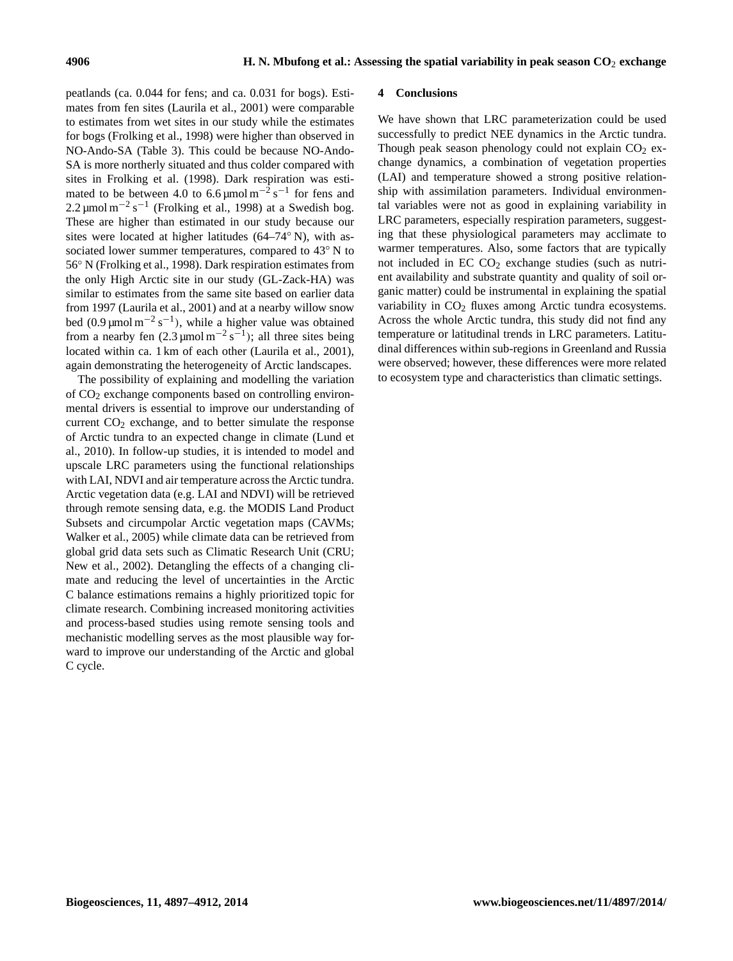peatlands (ca. 0.044 for fens; and ca. 0.031 for bogs). Estimates from fen sites (Laurila et al., 2001) were comparable to estimates from wet sites in our study while the estimates for bogs (Frolking et al., 1998) were higher than observed in NO-Ando-SA (Table 3). This could be because NO-Ando-SA is more northerly situated and thus colder compared with sites in Frolking et al. (1998). Dark respiration was estimated to be between 4.0 to 6.6  $\mu$ mol m<sup>-2</sup> s<sup>-1</sup> for fens and 2.2 µmol m<sup>-2</sup> s<sup>-1</sup> (Frolking et al., 1998) at a Swedish bog. These are higher than estimated in our study because our sites were located at higher latitudes (64–74° N), with associated lower summer temperatures, compared to 43<sup>°</sup> N to 56◦ N (Frolking et al., 1998). Dark respiration estimates from the only High Arctic site in our study (GL-Zack-HA) was similar to estimates from the same site based on earlier data from 1997 (Laurila et al., 2001) and at a nearby willow snow bed (0.9  $\mu$ mol m<sup>-2</sup> s<sup>-1</sup>), while a higher value was obtained from a nearby fen  $(2.3 \,\mu\text{mol m}^{-2} \text{ s}^{-1})$ ; all three sites being located within ca. 1 km of each other (Laurila et al., 2001), again demonstrating the heterogeneity of Arctic landscapes.

The possibility of explaining and modelling the variation of CO<sup>2</sup> exchange components based on controlling environmental drivers is essential to improve our understanding of current  $CO<sub>2</sub>$  exchange, and to better simulate the response of Arctic tundra to an expected change in climate (Lund et al., 2010). In follow-up studies, it is intended to model and upscale LRC parameters using the functional relationships with LAI, NDVI and air temperature across the Arctic tundra. Arctic vegetation data (e.g. LAI and NDVI) will be retrieved through remote sensing data, e.g. the MODIS Land Product Subsets and circumpolar Arctic vegetation maps (CAVMs; Walker et al., 2005) while climate data can be retrieved from global grid data sets such as Climatic Research Unit (CRU; New et al., 2002). Detangling the effects of a changing climate and reducing the level of uncertainties in the Arctic C balance estimations remains a highly prioritized topic for climate research. Combining increased monitoring activities and process-based studies using remote sensing tools and mechanistic modelling serves as the most plausible way forward to improve our understanding of the Arctic and global C cycle.

#### **4 Conclusions**

We have shown that LRC parameterization could be used successfully to predict NEE dynamics in the Arctic tundra. Though peak season phenology could not explain  $CO<sub>2</sub>$  exchange dynamics, a combination of vegetation properties (LAI) and temperature showed a strong positive relationship with assimilation parameters. Individual environmental variables were not as good in explaining variability in LRC parameters, especially respiration parameters, suggesting that these physiological parameters may acclimate to warmer temperatures. Also, some factors that are typically not included in  $EC CO<sub>2</sub>$  exchange studies (such as nutrient availability and substrate quantity and quality of soil organic matter) could be instrumental in explaining the spatial variability in  $CO<sub>2</sub>$  fluxes among Arctic tundra ecosystems. Across the whole Arctic tundra, this study did not find any temperature or latitudinal trends in LRC parameters. Latitudinal differences within sub-regions in Greenland and Russia were observed; however, these differences were more related to ecosystem type and characteristics than climatic settings.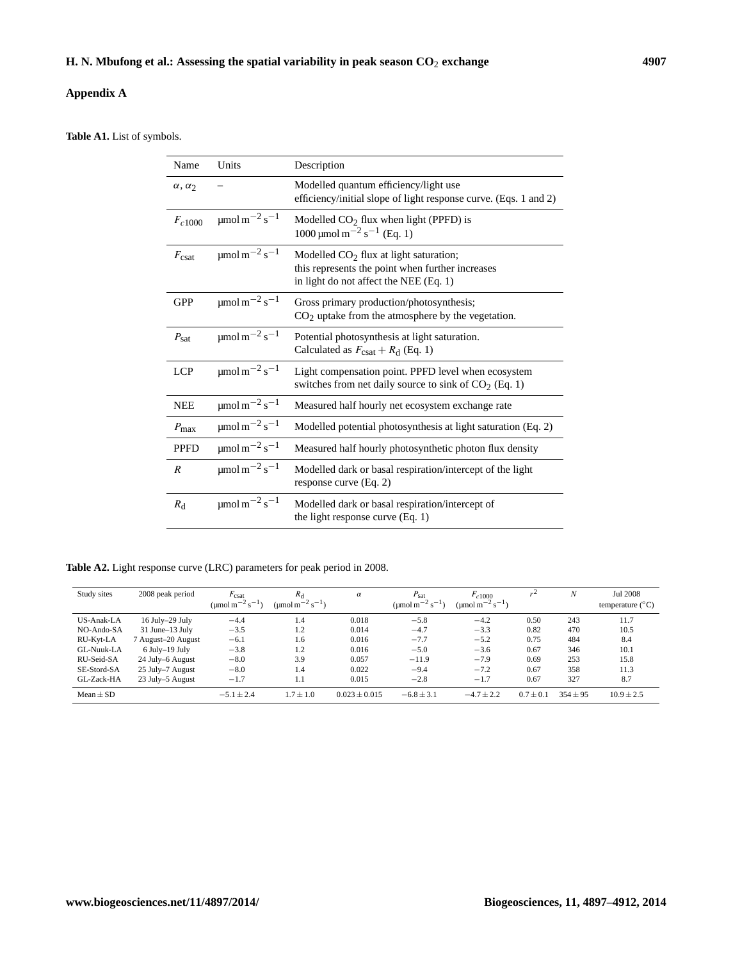## **Appendix A**

**Table A1.** List of symbols.

| Name                             | Units                                                          | Description                                                                                                                            |
|----------------------------------|----------------------------------------------------------------|----------------------------------------------------------------------------------------------------------------------------------------|
| $\alpha$ , $\alpha$ <sub>2</sub> |                                                                | Modelled quantum efficiency/light use<br>efficiency/initial slope of light response curve. (Eqs. 1 and 2)                              |
| $F_{c1000}$                      | $\mu$ mol m $^{-2}$ s <sup>-1</sup>                            | Modelled $CO2$ flux when light (PPFD) is<br>$1000 \,\mathrm{\mu mol\,m}^{-2}\,\mathrm{s}^{-1}$ (Eq. 1)                                 |
| $F_{\text{csat}}$                | umol m <sup><math>-2</math></sup> s <sup><math>-1</math></sup> | Modelled $CO2$ flux at light saturation;<br>this represents the point when further increases<br>in light do not affect the NEE (Eq. 1) |
| <b>GPP</b>                       | $\mu$ mol m $^{-2}$ s <sup>-1</sup>                            | Gross primary production/photosynthesis;<br>$CO2$ uptake from the atmosphere by the vegetation.                                        |
| $P_{\rm sat}$                    | $\mu$ mol m $^{-2}$ s <sup>-1</sup>                            | Potential photosynthesis at light saturation.<br>Calculated as $F_{\text{csat}} + R_d$ (Eq. 1)                                         |
| LCP                              | $\mu$ mol m $^{-2}$ s <sup>-1</sup>                            | Light compensation point. PPFD level when ecosystem<br>switches from net daily source to sink of CO <sub>2</sub> (Eq. 1)               |
| <b>NEE</b>                       | $\mu$ mol m <sup>-2</sup> s <sup>-1</sup>                      | Measured half hourly net ecosystem exchange rate                                                                                       |
| $P_{\text{max}}$                 | $\mu$ mol m <sup>-2</sup> s <sup>-1</sup>                      | Modelled potential photosynthesis at light saturation (Eq. 2)                                                                          |
| <b>PPFD</b>                      | $\mu$ mol m <sup>-2</sup> s <sup>-1</sup>                      | Measured half hourly photosynthetic photon flux density                                                                                |
| $\boldsymbol{R}$                 | $\mu$ mol m $^{-2}$ s <sup>-1</sup>                            | Modelled dark or basal respiration/intercept of the light<br>response curve (Eq. 2)                                                    |
| $R_{\rm d}$                      | $\mu$ mol m $^{-2}$ s <sup>-1</sup>                            | Modelled dark or basal respiration/intercept of<br>the light response curve (Eq. 1)                                                    |

**Table A2.** Light response curve (LRC) parameters for peak period in 2008.

| Study sites | 2008 peak period     | $F_{\text{csat}}$<br>(umol m <sup>-2</sup> s <sup>-1</sup> ) | $R_{\rm d}$<br>( $\mu$ mol m <sup>-2</sup> s <sup>-1</sup> ) | $\alpha$          | $P_{\text{sat}}$<br>(umol m <sup>-2</sup> s <sup>-1</sup> ) | $F_{c1000}$<br>(umol m <sup>-2</sup> s <sup>-1</sup> ) |               | $\boldsymbol{N}$ | Jul 2008<br>temperature $(^{\circ}C)$ |
|-------------|----------------------|--------------------------------------------------------------|--------------------------------------------------------------|-------------------|-------------------------------------------------------------|--------------------------------------------------------|---------------|------------------|---------------------------------------|
| US-Anak-LA  | 16 July-29 July      | $-4.4$                                                       | 1.4                                                          | 0.018             | $-5.8$                                                      | $-4.2$                                                 | 0.50          | 243              | 11.7                                  |
| NO-Ando-SA  | $31$ June $-13$ July | $-3.5$                                                       | 1.2                                                          | 0.014             | $-4.7$                                                      | $-3.3$                                                 | 0.82          | 470              | 10.5                                  |
| RU-Kyt-LA   | 7 August-20 August   | $-6.1$                                                       | $1.6^{\circ}$                                                | 0.016             | $-7.7$                                                      | $-5.2$                                                 | 0.75          | 484              | 8.4                                   |
| GL-Nuuk-LA  | $6$ July-19 July     | $-3.8$                                                       | 1.2                                                          | 0.016             | $-5.0$                                                      | $-3.6$                                                 | 0.67          | 346              | 10.1                                  |
| RU-Seid-SA  | 24 July–6 August     | $-8.0$                                                       | 3.9                                                          | 0.057             | $-11.9$                                                     | $-7.9$                                                 | 0.69          | 253              | 15.8                                  |
| SE-Stord-SA | 25 July-7 August     | $-8.0$                                                       | 1.4                                                          | 0.022             | $-9.4$                                                      | $-7.2$                                                 | 0.67          | 358              | 11.3                                  |
| GL-Zack-HA  | 23 July-5 August     | $-1.7$                                                       | 1.1                                                          | 0.015             | $-2.8$                                                      | $-1.7$                                                 | 0.67          | 327              | 8.7                                   |
| $Mean + SD$ |                      | $-5.1 \pm 2.4$                                               | $1.7 \pm 1.0$                                                | $0.023 \pm 0.015$ | $-6.8 \pm 3.1$                                              | $-4.7 \pm 2.2$                                         | $0.7 \pm 0.1$ | $354 \pm 95$     | $10.9 \pm 2.5$                        |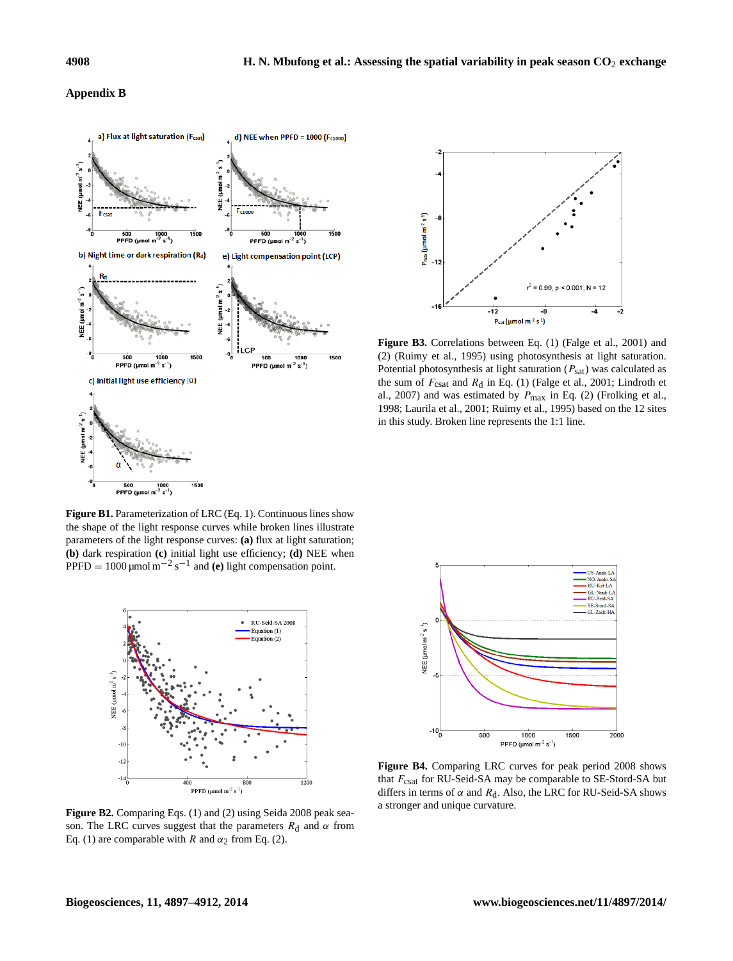#### **Appendix B**





**Figure B3.** Correlations between Eq. [\(1\)](#page-3-0) (Falge et al., 2001) and [\(2\)](#page-4-0) (Ruimy et al., 1995) using photosynthesis at light saturation. Potential photosynthesis at light saturation  $(P_{\text{sat}})$  was calculated as the sum of  $F_{\text{csat}}$  and  $R_{\text{d}}$  in Eq. [\(1\)](#page-3-0) (Falge et al., 2001; Lindroth et al., 2007) and was estimated by  $P_{\text{max}}$  in Eq. [\(2\)](#page-4-0) (Frolking et al., 1998; Laurila et al., 2001; Ruimy et al., 1995) based on the 12 sites in this study. Broken line represents the 1:1 line.

**Figure B1.** Parameterization of LRC (Eq. 1). Continuous lines show the shape of the light response curves while broken lines illustrate parameters of the light response curves: **(a)** flux at light saturation; **(b)** dark respiration **(c)** initial light use efficiency; **(d)** NEE when PPFD =  $1000 \mu$ mol m<sup>-2</sup> s<sup>-1</sup> and **(e)** light compensation point.



**Figure B2.** Comparing Eqs. [\(1\)](#page-3-0) and [\(2\)](#page-4-0) using Seida 2008 peak season. The LRC curves suggest that the parameters  $R_d$  and  $\alpha$  from Eq. [\(1\)](#page-3-0) are comparable with R and  $\alpha_2$  from Eq. [\(2\)](#page-4-0).



**Figure B4.** Comparing LRC curves for peak period 2008 shows that  $F_{\text{csat}}$  for RU-Seid-SA may be comparable to SE-Stord-SA but differs in terms of  $\alpha$  and  $R_d$ . Also, the LRC for RU-Seid-SA shows a stronger and unique curvature.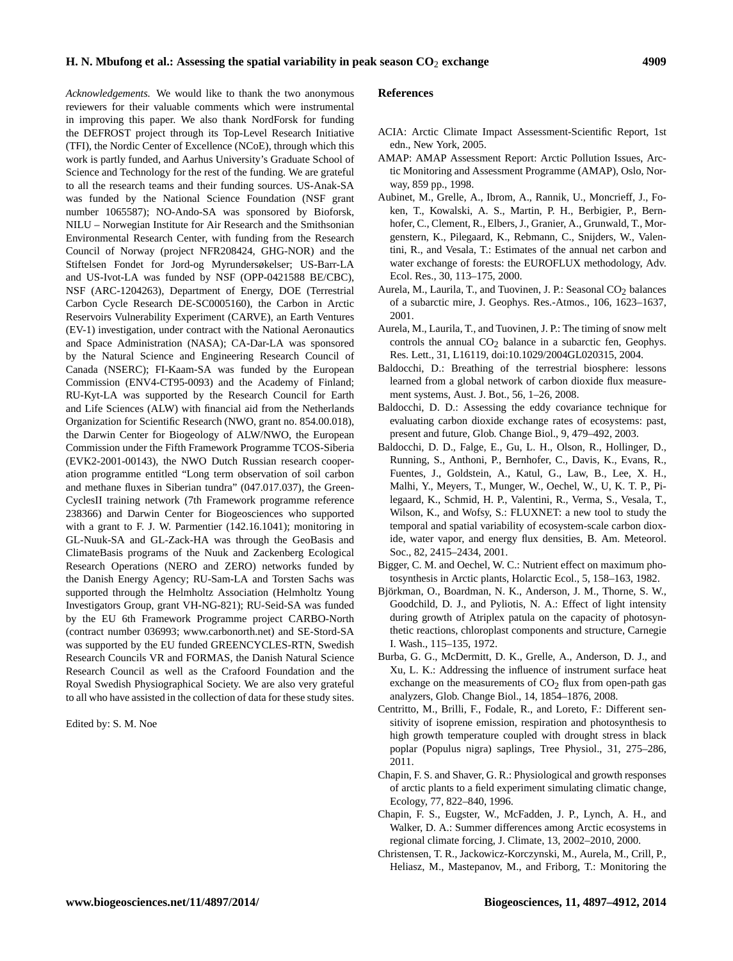*Acknowledgements.* We would like to thank the two anonymous reviewers for their valuable comments which were instrumental in improving this paper. We also thank NordForsk for funding the DEFROST project through its Top-Level Research Initiative (TFI), the Nordic Center of Excellence (NCoE), through which this work is partly funded, and Aarhus University's Graduate School of Science and Technology for the rest of the funding. We are grateful to all the research teams and their funding sources. US-Anak-SA was funded by the National Science Foundation (NSF grant number 1065587); NO-Ando-SA was sponsored by Bioforsk, NILU – Norwegian Institute for Air Research and the Smithsonian Environmental Research Center, with funding from the Research Council of Norway (project NFR208424, GHG-NOR) and the Stiftelsen Fondet for Jord-og Myrundersøkelser; US-Barr-LA and US-Ivot-LA was funded by NSF (OPP-0421588 BE/CBC), NSF (ARC-1204263), Department of Energy, DOE (Terrestrial Carbon Cycle Research DE-SC0005160), the Carbon in Arctic Reservoirs Vulnerability Experiment (CARVE), an Earth Ventures (EV-1) investigation, under contract with the National Aeronautics and Space Administration (NASA); CA-Dar-LA was sponsored by the Natural Science and Engineering Research Council of Canada (NSERC); FI-Kaam-SA was funded by the European Commission (ENV4-CT95-0093) and the Academy of Finland; RU-Kyt-LA was supported by the Research Council for Earth and Life Sciences (ALW) with financial aid from the Netherlands Organization for Scientific Research (NWO, grant no. 854.00.018), the Darwin Center for Biogeology of ALW/NWO, the European Commission under the Fifth Framework Programme TCOS-Siberia (EVK2-2001-00143), the NWO Dutch Russian research cooperation programme entitled "Long term observation of soil carbon and methane fluxes in Siberian tundra" (047.017.037), the Green-CyclesII training network (7th Framework programme reference 238366) and Darwin Center for Biogeosciences who supported with a grant to F. J. W. Parmentier (142.16.1041); monitoring in GL-Nuuk-SA and GL-Zack-HA was through the GeoBasis and ClimateBasis programs of the Nuuk and Zackenberg Ecological Research Operations (NERO and ZERO) networks funded by the Danish Energy Agency; RU-Sam-LA and Torsten Sachs was supported through the Helmholtz Association (Helmholtz Young Investigators Group, grant VH-NG-821); RU-Seid-SA was funded by the EU 6th Framework Programme project CARBO-North (contract number 036993; www.carbonorth.net) and SE-Stord-SA was supported by the EU funded GREENCYCLES-RTN, Swedish Research Councils VR and FORMAS, the Danish Natural Science Research Council as well as the Crafoord Foundation and the Royal Swedish Physiographical Society. We are also very grateful to all who have assisted in the collection of data for these study sites.

Edited by: S. M. Noe

#### **References**

- ACIA: Arctic Climate Impact Assessment-Scientific Report, 1st edn., New York, 2005.
- AMAP: AMAP Assessment Report: Arctic Pollution Issues, Arctic Monitoring and Assessment Programme (AMAP), Oslo, Norway, 859 pp., 1998.
- Aubinet, M., Grelle, A., Ibrom, A., Rannik, U., Moncrieff, J., Foken, T., Kowalski, A. S., Martin, P. H., Berbigier, P., Bernhofer, C., Clement, R., Elbers, J., Granier, A., Grunwald, T., Morgenstern, K., Pilegaard, K., Rebmann, C., Snijders, W., Valentini, R., and Vesala, T.: Estimates of the annual net carbon and water exchange of forests: the EUROFLUX methodology, Adv. Ecol. Res., 30, 113–175, 2000.
- Aurela, M., Laurila, T., and Tuovinen, J. P.: Seasonal  $CO<sub>2</sub>$  balances of a subarctic mire, J. Geophys. Res.-Atmos., 106, 1623–1637, 2001.
- Aurela, M., Laurila, T., and Tuovinen, J. P.: The timing of snow melt controls the annual  $CO<sub>2</sub>$  balance in a subarctic fen, Geophys. Res. Lett., 31, L16119, doi[:10.1029/2004GL020315,](http://dx.doi.org/10.1029/2004GL020315) 2004.
- Baldocchi, D.: Breathing of the terrestrial biosphere: lessons learned from a global network of carbon dioxide flux measurement systems, Aust. J. Bot., 56, 1–26, 2008.
- Baldocchi, D. D.: Assessing the eddy covariance technique for evaluating carbon dioxide exchange rates of ecosystems: past, present and future, Glob. Change Biol., 9, 479–492, 2003.
- Baldocchi, D. D., Falge, E., Gu, L. H., Olson, R., Hollinger, D., Running, S., Anthoni, P., Bernhofer, C., Davis, K., Evans, R., Fuentes, J., Goldstein, A., Katul, G., Law, B., Lee, X. H., Malhi, Y., Meyers, T., Munger, W., Oechel, W., U, K. T. P., Pilegaard, K., Schmid, H. P., Valentini, R., Verma, S., Vesala, T., Wilson, K., and Wofsy, S.: FLUXNET: a new tool to study the temporal and spatial variability of ecosystem-scale carbon dioxide, water vapor, and energy flux densities, B. Am. Meteorol. Soc., 82, 2415–2434, 2001.
- Bigger, C. M. and Oechel, W. C.: Nutrient effect on maximum photosynthesis in Arctic plants, Holarctic Ecol., 5, 158–163, 1982.
- Björkman, O., Boardman, N. K., Anderson, J. M., Thorne, S. W., Goodchild, D. J., and Pyliotis, N. A.: Effect of light intensity during growth of Atriplex patula on the capacity of photosynthetic reactions, chloroplast components and structure, Carnegie I. Wash., 115–135, 1972.
- Burba, G. G., McDermitt, D. K., Grelle, A., Anderson, D. J., and Xu, L. K.: Addressing the influence of instrument surface heat exchange on the measurements of  $CO<sub>2</sub>$  flux from open-path gas analyzers, Glob. Change Biol., 14, 1854–1876, 2008.
- Centritto, M., Brilli, F., Fodale, R., and Loreto, F.: Different sensitivity of isoprene emission, respiration and photosynthesis to high growth temperature coupled with drought stress in black poplar (Populus nigra) saplings, Tree Physiol., 31, 275–286, 2011.
- Chapin, F. S. and Shaver, G. R.: Physiological and growth responses of arctic plants to a field experiment simulating climatic change, Ecology, 77, 822–840, 1996.
- Chapin, F. S., Eugster, W., McFadden, J. P., Lynch, A. H., and Walker, D. A.: Summer differences among Arctic ecosystems in regional climate forcing, J. Climate, 13, 2002–2010, 2000.
- Christensen, T. R., Jackowicz-Korczynski, M., Aurela, M., Crill, P., Heliasz, M., Mastepanov, M., and Friborg, T.: Monitoring the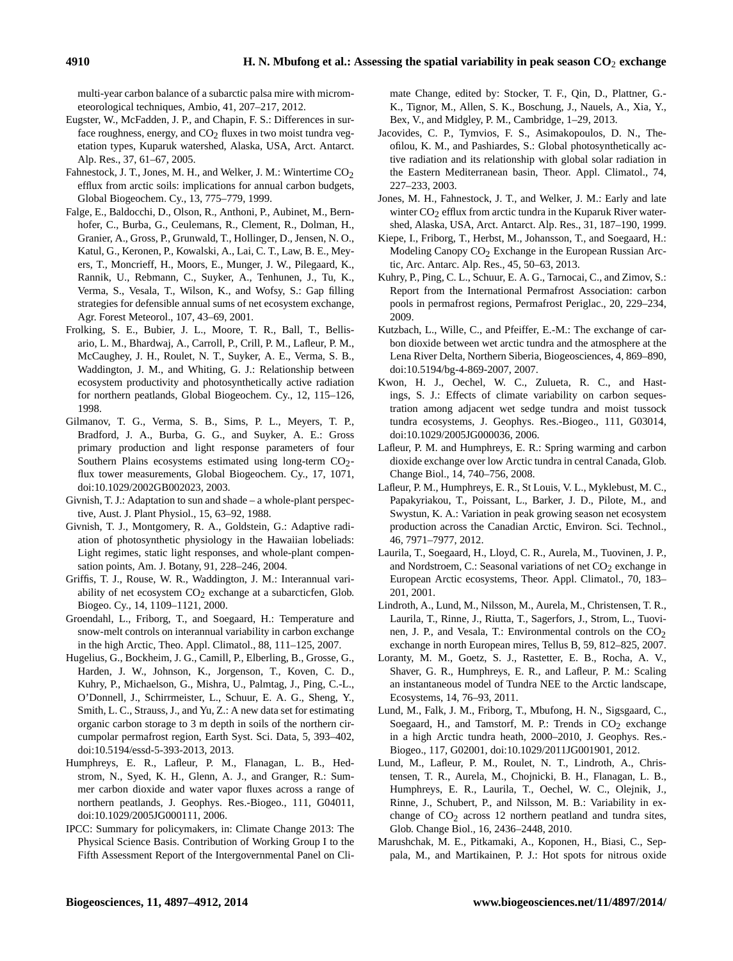multi-year carbon balance of a subarctic palsa mire with micrometeorological techniques, Ambio, 41, 207–217, 2012.

- Eugster, W., McFadden, J. P., and Chapin, F. S.: Differences in surface roughness, energy, and  $CO<sub>2</sub>$  fluxes in two moist tundra vegetation types, Kuparuk watershed, Alaska, USA, Arct. Antarct. Alp. Res., 37, 61–67, 2005.
- Fahnestock, J. T., Jones, M. H., and Welker, J. M.: Wintertime  $CO<sub>2</sub>$ efflux from arctic soils: implications for annual carbon budgets, Global Biogeochem. Cy., 13, 775–779, 1999.
- Falge, E., Baldocchi, D., Olson, R., Anthoni, P., Aubinet, M., Bernhofer, C., Burba, G., Ceulemans, R., Clement, R., Dolman, H., Granier, A., Gross, P., Grunwald, T., Hollinger, D., Jensen, N. O., Katul, G., Keronen, P., Kowalski, A., Lai, C. T., Law, B. E., Meyers, T., Moncrieff, H., Moors, E., Munger, J. W., Pilegaard, K., Rannik, U., Rebmann, C., Suyker, A., Tenhunen, J., Tu, K., Verma, S., Vesala, T., Wilson, K., and Wofsy, S.: Gap filling strategies for defensible annual sums of net ecosystem exchange, Agr. Forest Meteorol., 107, 43–69, 2001.
- Frolking, S. E., Bubier, J. L., Moore, T. R., Ball, T., Bellisario, L. M., Bhardwaj, A., Carroll, P., Crill, P. M., Lafleur, P. M., McCaughey, J. H., Roulet, N. T., Suyker, A. E., Verma, S. B., Waddington, J. M., and Whiting, G. J.: Relationship between ecosystem productivity and photosynthetically active radiation for northern peatlands, Global Biogeochem. Cy., 12, 115–126, 1998.
- Gilmanov, T. G., Verma, S. B., Sims, P. L., Meyers, T. P., Bradford, J. A., Burba, G. G., and Suyker, A. E.: Gross primary production and light response parameters of four Southern Plains ecosystems estimated using long-term  $CO<sub>2</sub>$ flux tower measurements, Global Biogeochem. Cy., 17, 1071, doi[:10.1029/2002GB002023,](http://dx.doi.org/10.1029/2002GB002023) 2003.
- Givnish, T. J.: Adaptation to sun and shade a whole-plant perspective, Aust. J. Plant Physiol., 15, 63–92, 1988.
- Givnish, T. J., Montgomery, R. A., Goldstein, G.: Adaptive radiation of photosynthetic physiology in the Hawaiian lobeliads: Light regimes, static light responses, and whole-plant compensation points, Am. J. Botany, 91, 228–246, 2004.
- Griffis, T. J., Rouse, W. R., Waddington, J. M.: Interannual variability of net ecosystem  $CO<sub>2</sub>$  exchange at a subarcticfen, Glob. Biogeo. Cy., 14, 1109–1121, 2000.
- Groendahl, L., Friborg, T., and Soegaard, H.: Temperature and snow-melt controls on interannual variability in carbon exchange in the high Arctic, Theo. Appl. Climatol., 88, 111–125, 2007.
- Hugelius, G., Bockheim, J. G., Camill, P., Elberling, B., Grosse, G., Harden, J. W., Johnson, K., Jorgenson, T., Koven, C. D., Kuhry, P., Michaelson, G., Mishra, U., Palmtag, J., Ping, C.-L., O'Donnell, J., Schirrmeister, L., Schuur, E. A. G., Sheng, Y., Smith, L. C., Strauss, J., and Yu, Z.: A new data set for estimating organic carbon storage to 3 m depth in soils of the northern circumpolar permafrost region, Earth Syst. Sci. Data, 5, 393–402, doi[:10.5194/essd-5-393-2013,](http://dx.doi.org/10.5194/essd-5-393-2013) 2013.
- Humphreys, E. R., Lafleur, P. M., Flanagan, L. B., Hedstrom, N., Syed, K. H., Glenn, A. J., and Granger, R.: Summer carbon dioxide and water vapor fluxes across a range of northern peatlands, J. Geophys. Res.-Biogeo., 111, G04011, doi[:10.1029/2005JG000111,](http://dx.doi.org/10.1029/2005JG000111) 2006.
- IPCC: Summary for policymakers, in: Climate Change 2013: The Physical Science Basis. Contribution of Working Group I to the Fifth Assessment Report of the Intergovernmental Panel on Cli-

mate Change, edited by: Stocker, T. F., Qin, D., Plattner, G.- K., Tignor, M., Allen, S. K., Boschung, J., Nauels, A., Xia, Y., Bex, V., and Midgley, P. M., Cambridge, 1–29, 2013.

- Jacovides, C. P., Tymvios, F. S., Asimakopoulos, D. N., Theofilou, K. M., and Pashiardes, S.: Global photosynthetically active radiation and its relationship with global solar radiation in the Eastern Mediterranean basin, Theor. Appl. Climatol., 74, 227–233, 2003.
- Jones, M. H., Fahnestock, J. T., and Welker, J. M.: Early and late winter  $CO<sub>2</sub>$  efflux from arctic tundra in the Kuparuk River watershed, Alaska, USA, Arct. Antarct. Alp. Res., 31, 187–190, 1999.
- Kiepe, I., Friborg, T., Herbst, M., Johansson, T., and Soegaard, H.: Modeling Canopy  $CO<sub>2</sub>$  Exchange in the European Russian Arctic, Arc. Antarc. Alp. Res., 45, 50–63, 2013.
- Kuhry, P., Ping, C. L., Schuur, E. A. G., Tarnocai, C., and Zimov, S.: Report from the International Permafrost Association: carbon pools in permafrost regions, Permafrost Periglac., 20, 229–234, 2009.
- Kutzbach, L., Wille, C., and Pfeiffer, E.-M.: The exchange of carbon dioxide between wet arctic tundra and the atmosphere at the Lena River Delta, Northern Siberia, Biogeosciences, 4, 869–890, doi[:10.5194/bg-4-869-2007,](http://dx.doi.org/10.5194/bg-4-869-2007) 2007.
- Kwon, H. J., Oechel, W. C., Zulueta, R. C., and Hastings, S. J.: Effects of climate variability on carbon sequestration among adjacent wet sedge tundra and moist tussock tundra ecosystems, J. Geophys. Res.-Biogeo., 111, G03014, doi[:10.1029/2005JG000036,](http://dx.doi.org/10.1029/2005JG000036) 2006.
- Lafleur, P. M. and Humphreys, E. R.: Spring warming and carbon dioxide exchange over low Arctic tundra in central Canada, Glob. Change Biol., 14, 740–756, 2008.
- Lafleur, P. M., Humphreys, E. R., St Louis, V. L., Myklebust, M. C., Papakyriakou, T., Poissant, L., Barker, J. D., Pilote, M., and Swystun, K. A.: Variation in peak growing season net ecosystem production across the Canadian Arctic, Environ. Sci. Technol., 46, 7971–7977, 2012.
- Laurila, T., Soegaard, H., Lloyd, C. R., Aurela, M., Tuovinen, J. P., and Nordstroem, C.: Seasonal variations of net  $CO<sub>2</sub>$  exchange in European Arctic ecosystems, Theor. Appl. Climatol., 70, 183– 201, 2001.
- Lindroth, A., Lund, M., Nilsson, M., Aurela, M., Christensen, T. R., Laurila, T., Rinne, J., Riutta, T., Sagerfors, J., Strom, L., Tuovinen, J. P., and Vesala, T.: Environmental controls on the  $CO<sub>2</sub>$ exchange in north European mires, Tellus B, 59, 812–825, 2007.
- Loranty, M. M., Goetz, S. J., Rastetter, E. B., Rocha, A. V., Shaver, G. R., Humphreys, E. R., and Lafleur, P. M.: Scaling an instantaneous model of Tundra NEE to the Arctic landscape, Ecosystems, 14, 76–93, 2011.
- Lund, M., Falk, J. M., Friborg, T., Mbufong, H. N., Sigsgaard, C., Soegaard, H., and Tamstorf, M. P.: Trends in  $CO<sub>2</sub>$  exchange in a high Arctic tundra heath, 2000–2010, J. Geophys. Res.- Biogeo., 117, G02001, doi[:10.1029/2011JG001901,](http://dx.doi.org/10.1029/2011JG001901) 2012.
- Lund, M., Lafleur, P. M., Roulet, N. T., Lindroth, A., Christensen, T. R., Aurela, M., Chojnicki, B. H., Flanagan, L. B., Humphreys, E. R., Laurila, T., Oechel, W. C., Olejnik, J., Rinne, J., Schubert, P., and Nilsson, M. B.: Variability in exchange of  $CO<sub>2</sub>$  across 12 northern peatland and tundra sites, Glob. Change Biol., 16, 2436–2448, 2010.
- Marushchak, M. E., Pitkamaki, A., Koponen, H., Biasi, C., Seppala, M., and Martikainen, P. J.: Hot spots for nitrous oxide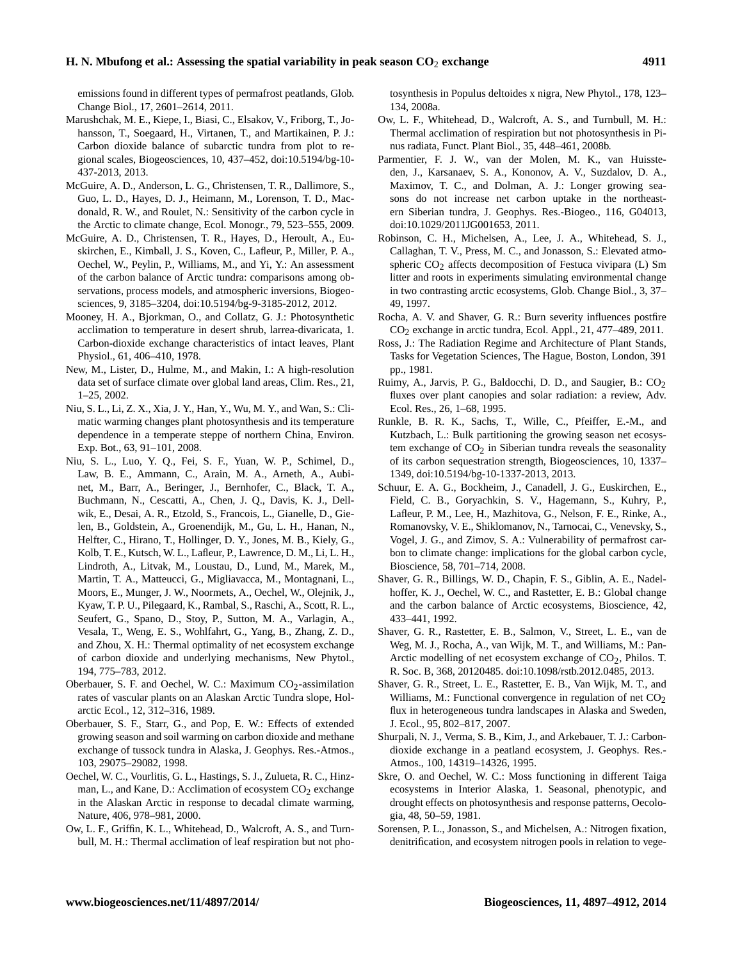emissions found in different types of permafrost peatlands, Glob. Change Biol., 17, 2601–2614, 2011.

- Marushchak, M. E., Kiepe, I., Biasi, C., Elsakov, V., Friborg, T., Johansson, T., Soegaard, H., Virtanen, T., and Martikainen, P. J.: Carbon dioxide balance of subarctic tundra from plot to regional scales, Biogeosciences, 10, 437–452, doi[:10.5194/bg-10-](http://dx.doi.org/10.5194/bg-10-437-2013) [437-2013,](http://dx.doi.org/10.5194/bg-10-437-2013) 2013.
- McGuire, A. D., Anderson, L. G., Christensen, T. R., Dallimore, S., Guo, L. D., Hayes, D. J., Heimann, M., Lorenson, T. D., Macdonald, R. W., and Roulet, N.: Sensitivity of the carbon cycle in the Arctic to climate change, Ecol. Monogr., 79, 523–555, 2009.
- McGuire, A. D., Christensen, T. R., Hayes, D., Heroult, A., Euskirchen, E., Kimball, J. S., Koven, C., Lafleur, P., Miller, P. A., Oechel, W., Peylin, P., Williams, M., and Yi, Y.: An assessment of the carbon balance of Arctic tundra: comparisons among observations, process models, and atmospheric inversions, Biogeosciences, 9, 3185–3204, doi[:10.5194/bg-9-3185-2012,](http://dx.doi.org/10.5194/bg-9-3185-2012) 2012.
- Mooney, H. A., Bjorkman, O., and Collatz, G. J.: Photosynthetic acclimation to temperature in desert shrub, larrea-divaricata, 1. Carbon-dioxide exchange characteristics of intact leaves, Plant Physiol., 61, 406–410, 1978.
- New, M., Lister, D., Hulme, M., and Makin, I.: A high-resolution data set of surface climate over global land areas, Clim. Res., 21, 1–25, 2002.
- Niu, S. L., Li, Z. X., Xia, J. Y., Han, Y., Wu, M. Y., and Wan, S.: Climatic warming changes plant photosynthesis and its temperature dependence in a temperate steppe of northern China, Environ. Exp. Bot., 63, 91–101, 2008.
- Niu, S. L., Luo, Y. Q., Fei, S. F., Yuan, W. P., Schimel, D., Law, B. E., Ammann, C., Arain, M. A., Arneth, A., Aubinet, M., Barr, A., Beringer, J., Bernhofer, C., Black, T. A., Buchmann, N., Cescatti, A., Chen, J. Q., Davis, K. J., Dellwik, E., Desai, A. R., Etzold, S., Francois, L., Gianelle, D., Gielen, B., Goldstein, A., Groenendijk, M., Gu, L. H., Hanan, N., Helfter, C., Hirano, T., Hollinger, D. Y., Jones, M. B., Kiely, G., Kolb, T. E., Kutsch, W. L., Lafleur, P., Lawrence, D. M., Li, L. H., Lindroth, A., Litvak, M., Loustau, D., Lund, M., Marek, M., Martin, T. A., Matteucci, G., Migliavacca, M., Montagnani, L., Moors, E., Munger, J. W., Noormets, A., Oechel, W., Olejnik, J., Kyaw, T. P. U., Pilegaard, K., Rambal, S., Raschi, A., Scott, R. L., Seufert, G., Spano, D., Stoy, P., Sutton, M. A., Varlagin, A., Vesala, T., Weng, E. S., Wohlfahrt, G., Yang, B., Zhang, Z. D., and Zhou, X. H.: Thermal optimality of net ecosystem exchange of carbon dioxide and underlying mechanisms, New Phytol., 194, 775–783, 2012.
- Oberbauer, S. F. and Oechel, W. C.: Maximum  $CO<sub>2</sub>$ -assimilation rates of vascular plants on an Alaskan Arctic Tundra slope, Holarctic Ecol., 12, 312–316, 1989.
- Oberbauer, S. F., Starr, G., and Pop, E. W.: Effects of extended growing season and soil warming on carbon dioxide and methane exchange of tussock tundra in Alaska, J. Geophys. Res.-Atmos., 103, 29075–29082, 1998.
- Oechel, W. C., Vourlitis, G. L., Hastings, S. J., Zulueta, R. C., Hinzman, L., and Kane, D.: Acclimation of ecosystem  $CO<sub>2</sub>$  exchange in the Alaskan Arctic in response to decadal climate warming, Nature, 406, 978–981, 2000.
- Ow, L. F., Griffin, K. L., Whitehead, D., Walcroft, A. S., and Turnbull, M. H.: Thermal acclimation of leaf respiration but not pho-

tosynthesis in Populus deltoides x nigra, New Phytol., 178, 123– 134, 2008a.

- Ow, L. F., Whitehead, D., Walcroft, A. S., and Turnbull, M. H.: Thermal acclimation of respiration but not photosynthesis in Pinus radiata, Funct. Plant Biol., 35, 448–461, 2008b.
- Parmentier, F. J. W., van der Molen, M. K., van Huissteden, J., Karsanaev, S. A., Kononov, A. V., Suzdalov, D. A., Maximov, T. C., and Dolman, A. J.: Longer growing seasons do not increase net carbon uptake in the northeastern Siberian tundra, J. Geophys. Res.-Biogeo., 116, G04013, doi[:10.1029/2011JG001653,](http://dx.doi.org/10.1029/2011JG001653) 2011.
- Robinson, C. H., Michelsen, A., Lee, J. A., Whitehead, S. J., Callaghan, T. V., Press, M. C., and Jonasson, S.: Elevated atmospheric  $CO<sub>2</sub>$  affects decomposition of Festuca vivipara (L) Sm litter and roots in experiments simulating environmental change in two contrasting arctic ecosystems, Glob. Change Biol., 3, 37– 49, 1997.
- Rocha, A. V. and Shaver, G. R.: Burn severity influences postfire  $CO<sub>2</sub>$  exchange in arctic tundra, Ecol. Appl., 21, 477–489, 2011.
- Ross, J.: The Radiation Regime and Architecture of Plant Stands, Tasks for Vegetation Sciences, The Hague, Boston, London, 391 pp., 1981.
- Ruimy, A., Jarvis, P. G., Baldocchi, D. D., and Saugier, B.: CO<sub>2</sub> fluxes over plant canopies and solar radiation: a review, Adv. Ecol. Res., 26, 1–68, 1995.
- Runkle, B. R. K., Sachs, T., Wille, C., Pfeiffer, E.-M., and Kutzbach, L.: Bulk partitioning the growing season net ecosystem exchange of  $CO<sub>2</sub>$  in Siberian tundra reveals the seasonality of its carbon sequestration strength, Biogeosciences, 10, 1337– 1349, doi[:10.5194/bg-10-1337-2013,](http://dx.doi.org/10.5194/bg-10-1337-2013) 2013.
- Schuur, E. A. G., Bockheim, J., Canadell, J. G., Euskirchen, E., Field, C. B., Goryachkin, S. V., Hagemann, S., Kuhry, P., Lafleur, P. M., Lee, H., Mazhitova, G., Nelson, F. E., Rinke, A., Romanovsky, V. E., Shiklomanov, N., Tarnocai, C., Venevsky, S., Vogel, J. G., and Zimov, S. A.: Vulnerability of permafrost carbon to climate change: implications for the global carbon cycle, Bioscience, 58, 701–714, 2008.
- Shaver, G. R., Billings, W. D., Chapin, F. S., Giblin, A. E., Nadelhoffer, K. J., Oechel, W. C., and Rastetter, E. B.: Global change and the carbon balance of Arctic ecosystems, Bioscience, 42, 433–441, 1992.
- Shaver, G. R., Rastetter, E. B., Salmon, V., Street, L. E., van de Weg, M. J., Rocha, A., van Wijk, M. T., and Williams, M.: Pan-Arctic modelling of net ecosystem exchange of  $CO<sub>2</sub>$ , Philos. T. R. Soc. B, 368, 20120485. doi[:10.1098/rstb.2012.0485,](http://dx.doi.org/10.1098/rstb.2012.0485) 2013.
- Shaver, G. R., Street, L. E., Rastetter, E. B., Van Wijk, M. T., and Williams, M.: Functional convergence in regulation of net  $CO<sub>2</sub>$ flux in heterogeneous tundra landscapes in Alaska and Sweden, J. Ecol., 95, 802–817, 2007.
- Shurpali, N. J., Verma, S. B., Kim, J., and Arkebauer, T. J.: Carbondioxide exchange in a peatland ecosystem, J. Geophys. Res.- Atmos., 100, 14319–14326, 1995.
- Skre, O. and Oechel, W. C.: Moss functioning in different Taiga ecosystems in Interior Alaska, 1. Seasonal, phenotypic, and drought effects on photosynthesis and response patterns, Oecologia, 48, 50–59, 1981.
- Sorensen, P. L., Jonasson, S., and Michelsen, A.: Nitrogen fixation, denitrification, and ecosystem nitrogen pools in relation to vege-